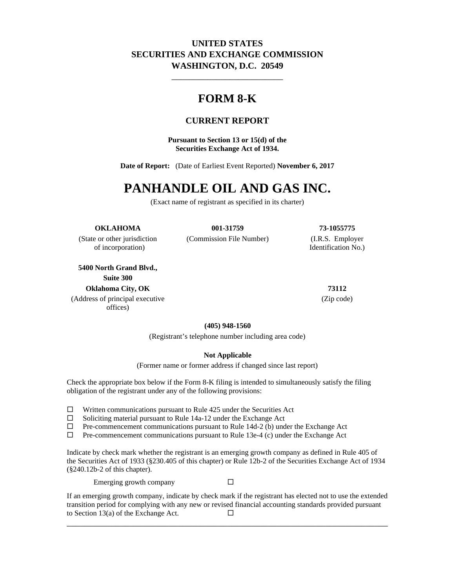# **UNITED STATES SECURITIES AND EXCHANGE COMMISSION WASHINGTON, D.C. 20549**

\_\_\_\_\_\_\_\_\_\_\_\_\_\_\_\_\_\_\_\_\_\_\_\_\_

# **FORM 8-K**

#### **CURRENT REPORT**

**Pursuant to Section 13 or 15(d) of the Securities Exchange Act of 1934.**

**Date of Report:** (Date of Earliest Event Reported) **November 6, 2017**

# **PANHANDLE OIL AND GAS INC.**

(Exact name of registrant as specified in its charter)

#### **OKLAHOMA 001-31759 73-1055775**

(State or other jurisdiction (Commission File Number) (I.R.S. Employer

**5400 North Grand Blvd., Suite 300 Oklahoma City, OK 73112**

(Address of principal executive offices)

of incorporation) Identification No.)

(Zip code)

**(405) 948-1560**

(Registrant's telephone number including area code)

#### **Not Applicable**

(Former name or former address if changed since last report)

Check the appropriate box below if the Form 8-K filing is intended to simultaneously satisfy the filing obligation of the registrant under any of the following provisions:

- $\Box$  Written communications pursuant to Rule 425 under the Securities Act
- $\Box$  Soliciting material pursuant to Rule 14a-12 under the Exchange Act
- $\Box$  Pre-commencement communications pursuant to Rule 14d-2 (b) under the Exchange Act
- $\Box$  Pre-commencement communications pursuant to Rule 13e-4 (c) under the Exchange Act

Indicate by check mark whether the registrant is an emerging growth company as defined in Rule 405 of the Securities Act of 1933 (§230.405 of this chapter) or Rule 12b-2 of the Securities Exchange Act of 1934 (§240.12b-2 of this chapter).

Emerging growth company  $\Box$ 

If an emerging growth company, indicate by check mark if the registrant has elected not to use the extended transition period for complying with any new or revised financial accounting standards provided pursuant to Section 13(a) of the Exchange Act.  $\square$ 

\_\_\_\_\_\_\_\_\_\_\_\_\_\_\_\_\_\_\_\_\_\_\_\_\_\_\_\_\_\_\_\_\_\_\_\_\_\_\_\_\_\_\_\_\_\_\_\_\_\_\_\_\_\_\_\_\_\_\_\_\_\_\_\_\_\_\_\_\_\_\_\_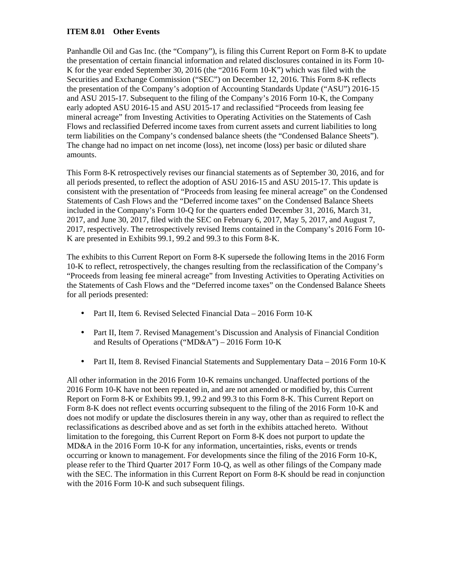#### **ITEM 8.01 Other Events**

Panhandle Oil and Gas Inc. (the "Company"), is filing this Current Report on Form 8-K to update the presentation of certain financial information and related disclosures contained in its Form 10- K for the year ended September 30, 2016 (the "2016 Form 10-K") which was filed with the Securities and Exchange Commission ("SEC") on December 12, 2016. This Form 8-K reflects the presentation of the Company's adoption of Accounting Standards Update ("ASU") 2016-15 and ASU 2015-17. Subsequent to the filing of the Company's 2016 Form 10-K, the Company early adopted ASU 2016-15 and ASU 2015-17 and reclassified "Proceeds from leasing fee mineral acreage" from Investing Activities to Operating Activities on the Statements of Cash Flows and reclassified Deferred income taxes from current assets and current liabilities to long term liabilities on the Company's condensed balance sheets (the "Condensed Balance Sheets"). The change had no impact on net income (loss), net income (loss) per basic or diluted share amounts.

This Form 8-K retrospectively revises our financial statements as of September 30, 2016, and for all periods presented, to reflect the adoption of ASU 2016-15 and ASU 2015-17. This update is consistent with the presentation of "Proceeds from leasing fee mineral acreage" on the Condensed Statements of Cash Flows and the "Deferred income taxes" on the Condensed Balance Sheets included in the Company's Form 10-Q for the quarters ended December 31, 2016, March 31, 2017, and June 30, 2017, filed with the SEC on February 6, 2017, May 5, 2017, and August 7, 2017, respectively. The retrospectively revised Items contained in the Company's 2016 Form 10- K are presented in Exhibits 99.1, 99.2 and 99.3 to this Form 8-K.

The exhibits to this Current Report on Form 8-K supersede the following Items in the 2016 Form 10-K to reflect, retrospectively, the changes resulting from the reclassification of the Company's "Proceeds from leasing fee mineral acreage" from Investing Activities to Operating Activities on the Statements of Cash Flows and the "Deferred income taxes" on the Condensed Balance Sheets for all periods presented:

- Part II, Item 6. Revised Selected Financial Data 2016 Form 10-K
- Part II, Item 7. Revised Management's Discussion and Analysis of Financial Condition and Results of Operations ("MD&A") – 2016 Form 10-K
- Part II, Item 8. Revised Financial Statements and Supplementary Data 2016 Form 10-K

All other information in the 2016 Form 10-K remains unchanged. Unaffected portions of the 2016 Form 10-K have not been repeated in, and are not amended or modified by, this Current Report on Form 8-K or Exhibits 99.1, 99.2 and 99.3 to this Form 8-K. This Current Report on Form 8-K does not reflect events occurring subsequent to the filing of the 2016 Form 10-K and does not modify or update the disclosures therein in any way, other than as required to reflect the reclassifications as described above and as set forth in the exhibits attached hereto. Without limitation to the foregoing, this Current Report on Form 8-K does not purport to update the MD&A in the 2016 Form 10-K for any information, uncertainties, risks, events or trends occurring or known to management. For developments since the filing of the 2016 Form 10-K, please refer to the Third Quarter 2017 Form 10-Q, as well as other filings of the Company made with the SEC. The information in this Current Report on Form 8-K should be read in conjunction with the 2016 Form 10-K and such subsequent filings.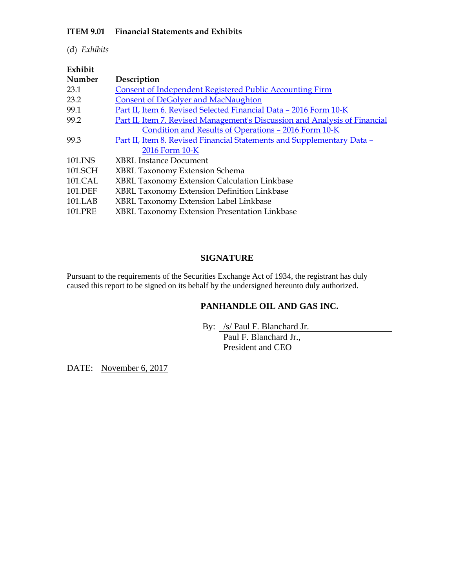# **ITEM 9.01 Financial Statements and Exhibits**

#### (d) *Exhibits*

# **Exhibit**

 $\hat{\theta}$ 

| Description                                                                |
|----------------------------------------------------------------------------|
| <b>Consent of Independent Registered Public Accounting Firm</b>            |
| <b>Consent of DeGolyer and MacNaughton</b>                                 |
| Part II, Item 6. Revised Selected Financial Data - 2016 Form 10-K          |
| Part II, Item 7. Revised Management's Discussion and Analysis of Financial |
| Condition and Results of Operations - 2016 Form 10-K                       |
| Part II, Item 8. Revised Financial Statements and Supplementary Data -     |
| 2016 Form 10-K                                                             |
| XBRL Instance Document                                                     |
| <b>XBRL Taxonomy Extension Schema</b>                                      |
| XBRL Taxonomy Extension Calculation Linkbase                               |
| <b>XBRL Taxonomy Extension Definition Linkbase</b>                         |
| XBRL Taxonomy Extension Label Linkbase                                     |
| <b>XBRL Taxonomy Extension Presentation Linkbase</b>                       |
|                                                                            |

#### **SIGNATURE**

Pursuant to the requirements of the Securities Exchange Act of 1934, the registrant has duly caused this report to be signed on its behalf by the undersigned hereunto duly authorized.

# **PANHANDLE OIL AND GAS INC.**

By: <u>/s/ Paul F. Blanchard Jr.</u>

Paul F. Blanchard Jr., President and CEO

DATE: November 6, 2017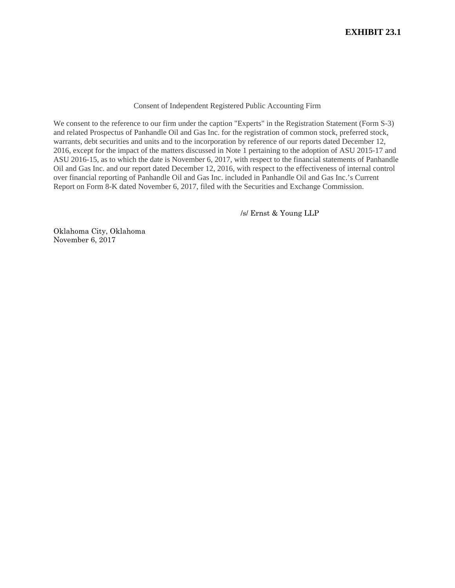#### Consent of Independent Registered Public Accounting Firm

We consent to the reference to our firm under the caption "Experts" in the Registration Statement (Form S-3) and related Prospectus of Panhandle Oil and Gas Inc. for the registration of common stock, preferred stock, warrants, debt securities and units and to the incorporation by reference of our reports dated December 12, 2016, except for the impact of the matters discussed in Note 1 pertaining to the adoption of ASU 2015-17 and ASU 2016-15, as to which the date is November 6, 2017, with respect to the financial statements of Panhandle Oil and Gas Inc. and our report dated December 12, 2016, with respect to the effectiveness of internal control over financial reporting of Panhandle Oil and Gas Inc. included in Panhandle Oil and Gas Inc.'s Current Report on Form 8-K dated November 6, 2017, filed with the Securities and Exchange Commission.

/s/ Ernst & Young LLP

Oklahoma City, Oklahoma November 6, 2017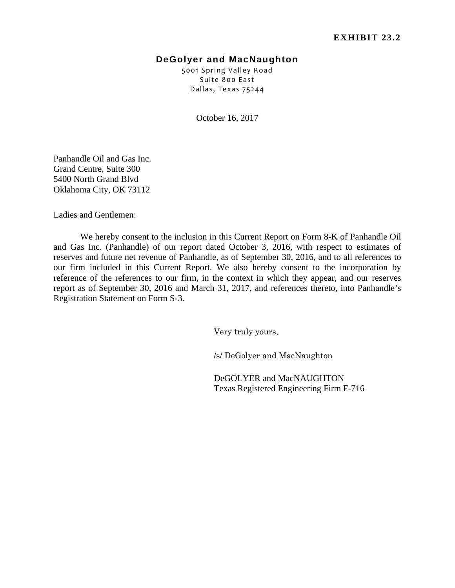#### **EXHIBIT 23.2**

#### **DeGolyer and MacNaughton**

5001 Spring Valley Road Suite 800 East Dallas, Texas 75244

October 16, 2017

Panhandle Oil and Gas Inc. Grand Centre, Suite 300 5400 North Grand Blvd Oklahoma City, OK 73112

Ladies and Gentlemen:

We hereby consent to the inclusion in this Current Report on Form 8-K of Panhandle Oil and Gas Inc. (Panhandle) of our report dated October 3, 2016, with respect to estimates of reserves and future net revenue of Panhandle, as of September 30, 2016, and to all references to our firm included in this Current Report. We also hereby consent to the incorporation by reference of the references to our firm, in the context in which they appear, and our reserves report as of September 30, 2016 and March 31, 2017, and references thereto, into Panhandle's Registration Statement on Form S-3.

Very truly yours,

/s/ DeGolyer and MacNaughton

DeGOLYER and MacNAUGHTON Texas Registered Engineering Firm F-716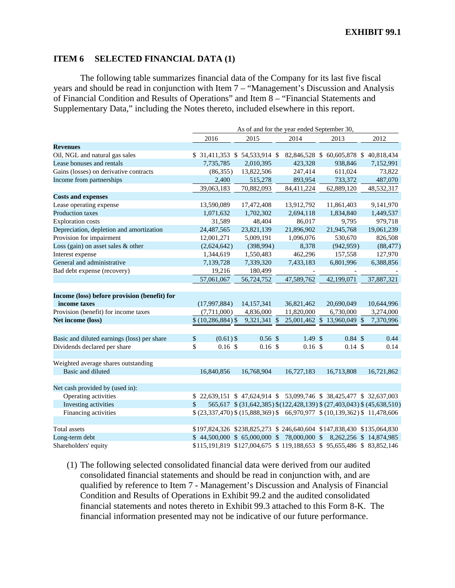#### **ITEM 6 SELECTED FINANCIAL DATA (1)**

The following table summarizes financial data of the Company for its last five fiscal years and should be read in conjunction with Item 7 – "Management's Discussion and Analysis of Financial Condition and Results of Operations" and Item 8 – "Financial Statements and Supplementary Data," including the Notes thereto, included elsewhere in this report.

|                                              | As of and for the year ended September 30,                            |              |                          |                                                                          |            |  |
|----------------------------------------------|-----------------------------------------------------------------------|--------------|--------------------------|--------------------------------------------------------------------------|------------|--|
|                                              | 2016                                                                  | 2015         | 2014                     | 2013                                                                     | 2012       |  |
| <b>Revenues</b>                              |                                                                       |              |                          |                                                                          |            |  |
| Oil, NGL and natural gas sales               | \$ 31,411,353 \$ 54,533,914 \$                                        |              |                          | 82,846,528 \$60,605,878 \$                                               | 40,818,434 |  |
| Lease bonuses and rentals                    | 7,735,785                                                             | 2,010,395    | 423,328                  | 938,846                                                                  | 7,152,991  |  |
| Gains (losses) on derivative contracts       | (86,355)                                                              | 13,822,506   | 247,414                  | 611,024                                                                  | 73,822     |  |
| Income from partnerships                     | 2,400                                                                 | 515,278      | 893,954                  | 733,372                                                                  | 487,070    |  |
|                                              | 39,063,183                                                            | 70,882,093   | 84,411,224               | 62,889,120                                                               | 48,532,317 |  |
| <b>Costs and expenses</b>                    |                                                                       |              |                          |                                                                          |            |  |
| Lease operating expense                      | 13,590,089                                                            | 17,472,408   | 13,912,792               | 11,861,403                                                               | 9,141,970  |  |
| Production taxes                             | 1,071,632                                                             | 1,702,302    | 2,694,118                | 1,834,840                                                                | 1,449,537  |  |
| <b>Exploration</b> costs                     | 31,589                                                                | 48,404       | 86,017                   | 9,795                                                                    | 979,718    |  |
| Depreciation, depletion and amortization     | 24,487,565                                                            | 23,821,139   | 21,896,902               | 21,945,768                                                               | 19,061,239 |  |
| Provision for impairment                     | 12,001,271                                                            | 5,009,191    | 1,096,076                | 530,670                                                                  | 826,508    |  |
| Loss (gain) on asset sales $&$ other         | (2,624,642)                                                           | (398, 994)   | 8,378                    | (942, 959)                                                               | (88, 477)  |  |
| Interest expense                             | 1,344,619                                                             | 1,550,483    | 462,296                  | 157,558                                                                  | 127,970    |  |
| General and administrative                   | 7,139,728                                                             | 7,339,320    | 7,433,183                | 6,801,996                                                                | 6,388,856  |  |
| Bad debt expense (recovery)                  | 19,216                                                                | 180,499      | $\overline{\phantom{a}}$ | $\blacksquare$                                                           |            |  |
|                                              | 57,061,067                                                            | 56,724,752   | 47,589,762               | 42,199,071                                                               | 37,887,321 |  |
| Income (loss) before provision (benefit) for |                                                                       |              |                          |                                                                          |            |  |
| income taxes                                 | (17,997,884)                                                          | 14,157,341   | 36,821,462               | 20,690,049                                                               | 10,644,996 |  |
| Provision (benefit) for income taxes         | (7,711,000)                                                           | 4,836,000    | 11,820,000               | 6,730,000                                                                | 3,274,000  |  |
| Net income (loss)                            | $$(10, 286, 884)$ \$                                                  | 9,321,341 \$ | 25,001,462 \$            | 13,960,049 \$                                                            | 7,370,996  |  |
| Basic and diluted earnings (loss) per share  | \$<br>$(0.61)$ \$                                                     | 0.56~\$      | $1.49 \text{ }$ \$       | $0.84~\$$                                                                | 0.44       |  |
| Dividends declared per share                 | \$<br>$0.16$ \$                                                       | $0.16$ \$    | $0.16$ \$                | $0.14 \text{ }$ \$                                                       | 0.14       |  |
|                                              |                                                                       |              |                          |                                                                          |            |  |
| Weighted average shares outstanding          |                                                                       |              |                          |                                                                          |            |  |
| Basic and diluted                            | 16,840,856                                                            | 16,768,904   | 16,727,183               | 16,713,808                                                               | 16,721,862 |  |
| Net cash provided by (used in):              |                                                                       |              |                          |                                                                          |            |  |
| Operating activities                         | \$22,639,151 \$47,624,914 \$53,099,746 \$38,425,477 \$32,637,003      |              |                          |                                                                          |            |  |
| Investing activities                         | \$                                                                    |              |                          | 565,617 \$ (31,642,385) \$ (122,428,139) \$ (27,403,043) \$ (45,638,510) |            |  |
| Financing activities                         | $$(23,337,470) $(15,888,369) $66,970,977 $(10,139,362) $11,478,606$   |              |                          |                                                                          |            |  |
| <b>Total</b> assets                          | \$197,824,326 \$238,825,273 \$246,640,604 \$147,838,430 \$135,064,830 |              |                          |                                                                          |            |  |
| Long-term debt                               | \$44,500,000 \$65,000,000 \$78,000,000 \$8,262,256 \$14,874,985       |              |                          |                                                                          |            |  |
| Shareholders' equity                         | \$115,191,819 \$127,004,675 \$119,188,653 \$95,655,486 \$83,852,146   |              |                          |                                                                          |            |  |
|                                              |                                                                       |              |                          |                                                                          |            |  |

(1) The following selected consolidated financial data were derived from our audited consolidated financial statements and should be read in conjunction with, and are qualified by reference to Item 7 - Management's Discussion and Analysis of Financial Condition and Results of Operations in Exhibit 99.2 and the audited consolidated financial statements and notes thereto in Exhibit 99.3 attached to this Form 8-K. The financial information presented may not be indicative of our future performance.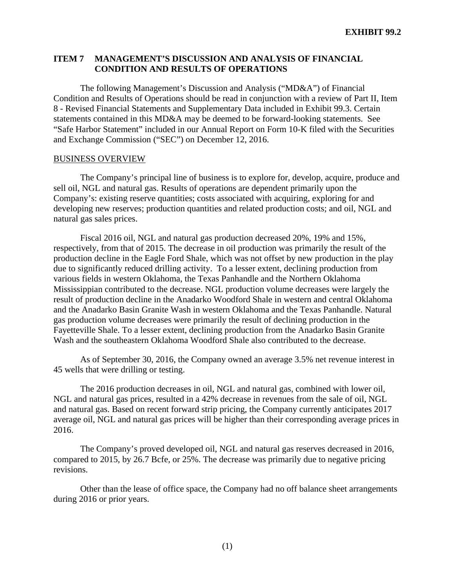# **ITEM 7 MANAGEMENT'S DISCUSSION AND ANALYSIS OF FINANCIAL CONDITION AND RESULTS OF OPERATIONS**

The following Management's Discussion and Analysis ("MD&A") of Financial Condition and Results of Operations should be read in conjunction with a review of Part II, Item 8 - Revised Financial Statements and Supplementary Data included in Exhibit 99.3. Certain statements contained in this MD&A may be deemed to be forward-looking statements. See "Safe Harbor Statement" included in our Annual Report on Form 10-K filed with the Securities and Exchange Commission ("SEC") on December 12, 2016.

#### BUSINESS OVERVIEW

The Company's principal line of business is to explore for, develop, acquire, produce and sell oil, NGL and natural gas. Results of operations are dependent primarily upon the Company's: existing reserve quantities; costs associated with acquiring, exploring for and developing new reserves; production quantities and related production costs; and oil, NGL and natural gas sales prices.

Fiscal 2016 oil, NGL and natural gas production decreased 20%, 19% and 15%, respectively, from that of 2015. The decrease in oil production was primarily the result of the production decline in the Eagle Ford Shale, which was not offset by new production in the play due to significantly reduced drilling activity. To a lesser extent, declining production from various fields in western Oklahoma, the Texas Panhandle and the Northern Oklahoma Mississippian contributed to the decrease. NGL production volume decreases were largely the result of production decline in the Anadarko Woodford Shale in western and central Oklahoma and the Anadarko Basin Granite Wash in western Oklahoma and the Texas Panhandle. Natural gas production volume decreases were primarily the result of declining production in the Fayetteville Shale. To a lesser extent, declining production from the Anadarko Basin Granite Wash and the southeastern Oklahoma Woodford Shale also contributed to the decrease.

As of September 30, 2016, the Company owned an average 3.5% net revenue interest in 45 wells that were drilling or testing.

The 2016 production decreases in oil, NGL and natural gas, combined with lower oil, NGL and natural gas prices, resulted in a 42% decrease in revenues from the sale of oil, NGL and natural gas. Based on recent forward strip pricing, the Company currently anticipates 2017 average oil, NGL and natural gas prices will be higher than their corresponding average prices in 2016.

The Company's proved developed oil, NGL and natural gas reserves decreased in 2016, compared to 2015, by 26.7 Bcfe, or 25%. The decrease was primarily due to negative pricing revisions.

Other than the lease of office space, the Company had no off balance sheet arrangements during 2016 or prior years.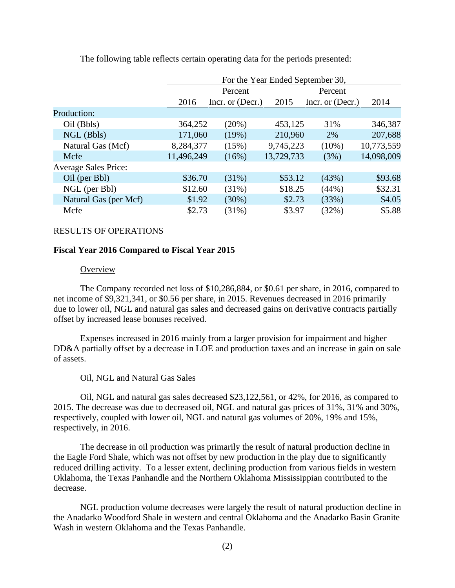|                             | For the Year Ended September 30, |                  |            |                  |            |  |
|-----------------------------|----------------------------------|------------------|------------|------------------|------------|--|
|                             |                                  | Percent          |            | Percent          |            |  |
|                             | 2016                             | Incr. or (Decr.) | 2015       | Incr. or (Decr.) | 2014       |  |
| Production:                 |                                  |                  |            |                  |            |  |
| Oil (Bbls)                  | 364,252                          | (20%)            | 453,125    | 31%              | 346,387    |  |
| NGL (Bbls)                  | 171,060                          | (19%)            | 210,960    | 2%               | 207,688    |  |
| Natural Gas (Mcf)           | 8,284,377                        | (15%)            | 9,745,223  | $(10\%)$         | 10,773,559 |  |
| Mcfe                        | 11,496,249                       | (16%)            | 13,729,733 | (3%)             | 14,098,009 |  |
| <b>Average Sales Price:</b> |                                  |                  |            |                  |            |  |
| Oil (per Bbl)               | \$36.70                          | $(31\%)$         | \$53.12    | (43%)            | \$93.68    |  |
| NGL (per Bbl)               | \$12.60                          | (31%)            | \$18.25    | (44%)            | \$32.31    |  |
| Natural Gas (per Mcf)       | \$1.92                           | (30%)            | \$2.73     | (33%)            | \$4.05     |  |
| Mcfe                        | \$2.73                           | (31%)            | \$3.97     | (32%)            | \$5.88     |  |
|                             |                                  |                  |            |                  |            |  |

The following table reflects certain operating data for the periods presented:

#### RESULTS OF OPERATIONS

#### **Fiscal Year 2016 Compared to Fiscal Year 2015**

#### **Overview**

The Company recorded net loss of \$10,286,884, or \$0.61 per share, in 2016, compared to net income of \$9,321,341, or \$0.56 per share, in 2015. Revenues decreased in 2016 primarily due to lower oil, NGL and natural gas sales and decreased gains on derivative contracts partially offset by increased lease bonuses received.

Expenses increased in 2016 mainly from a larger provision for impairment and higher DD&A partially offset by a decrease in LOE and production taxes and an increase in gain on sale of assets.

#### Oil, NGL and Natural Gas Sales

Oil, NGL and natural gas sales decreased \$23,122,561, or 42%, for 2016, as compared to 2015. The decrease was due to decreased oil, NGL and natural gas prices of 31%, 31% and 30%, respectively, coupled with lower oil, NGL and natural gas volumes of 20%, 19% and 15%, respectively, in 2016.

The decrease in oil production was primarily the result of natural production decline in the Eagle Ford Shale, which was not offset by new production in the play due to significantly reduced drilling activity. To a lesser extent, declining production from various fields in western Oklahoma, the Texas Panhandle and the Northern Oklahoma Mississippian contributed to the decrease.

NGL production volume decreases were largely the result of natural production decline in the Anadarko Woodford Shale in western and central Oklahoma and the Anadarko Basin Granite Wash in western Oklahoma and the Texas Panhandle.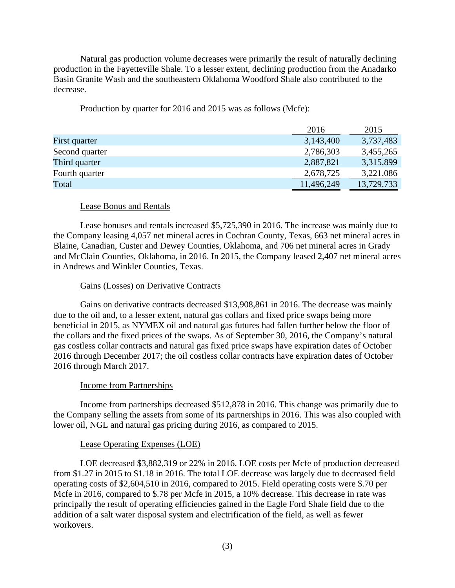Natural gas production volume decreases were primarily the result of naturally declining production in the Fayetteville Shale. To a lesser extent, declining production from the Anadarko Basin Granite Wash and the southeastern Oklahoma Woodford Shale also contributed to the decrease.

Production by quarter for 2016 and 2015 was as follows (Mcfe):

|                | 2016       | 2015       |
|----------------|------------|------------|
| First quarter  | 3,143,400  | 3,737,483  |
| Second quarter | 2,786,303  | 3,455,265  |
| Third quarter  | 2,887,821  | 3,315,899  |
| Fourth quarter | 2,678,725  | 3,221,086  |
| Total          | 11,496,249 | 13,729,733 |

#### Lease Bonus and Rentals

Lease bonuses and rentals increased \$5,725,390 in 2016. The increase was mainly due to the Company leasing 4,057 net mineral acres in Cochran County, Texas, 663 net mineral acres in Blaine, Canadian, Custer and Dewey Counties, Oklahoma, and 706 net mineral acres in Grady and McClain Counties, Oklahoma, in 2016. In 2015, the Company leased 2,407 net mineral acres in Andrews and Winkler Counties, Texas.

#### Gains (Losses) on Derivative Contracts

Gains on derivative contracts decreased \$13,908,861 in 2016. The decrease was mainly due to the oil and, to a lesser extent, natural gas collars and fixed price swaps being more beneficial in 2015, as NYMEX oil and natural gas futures had fallen further below the floor of the collars and the fixed prices of the swaps. As of September 30, 2016, the Company's natural gas costless collar contracts and natural gas fixed price swaps have expiration dates of October 2016 through December 2017; the oil costless collar contracts have expiration dates of October 2016 through March 2017.

#### Income from Partnerships

Income from partnerships decreased \$512,878 in 2016. This change was primarily due to the Company selling the assets from some of its partnerships in 2016. This was also coupled with lower oil, NGL and natural gas pricing during 2016, as compared to 2015.

#### Lease Operating Expenses (LOE)

LOE decreased \$3,882,319 or 22% in 2016. LOE costs per Mcfe of production decreased from \$1.27 in 2015 to \$1.18 in 2016. The total LOE decrease was largely due to decreased field operating costs of \$2,604,510 in 2016, compared to 2015. Field operating costs were \$.70 per Mcfe in 2016, compared to \$.78 per Mcfe in 2015, a 10% decrease. This decrease in rate was principally the result of operating efficiencies gained in the Eagle Ford Shale field due to the addition of a salt water disposal system and electrification of the field, as well as fewer workovers.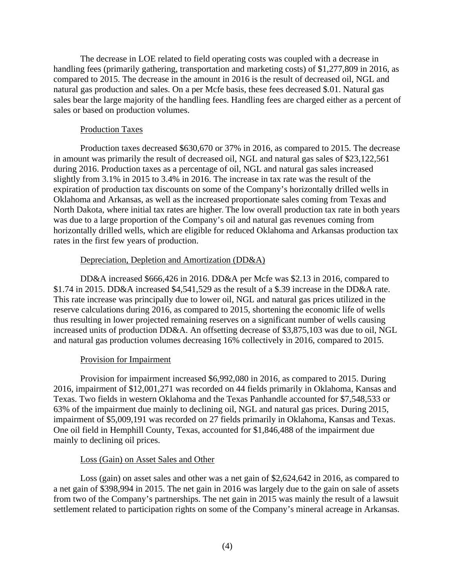The decrease in LOE related to field operating costs was coupled with a decrease in handling fees (primarily gathering, transportation and marketing costs) of \$1,277,809 in 2016, as compared to 2015. The decrease in the amount in 2016 is the result of decreased oil, NGL and natural gas production and sales. On a per Mcfe basis, these fees decreased \$.01. Natural gas sales bear the large majority of the handling fees. Handling fees are charged either as a percent of sales or based on production volumes.

#### Production Taxes

Production taxes decreased \$630,670 or 37% in 2016, as compared to 2015. The decrease in amount was primarily the result of decreased oil, NGL and natural gas sales of \$23,122,561 during 2016. Production taxes as a percentage of oil, NGL and natural gas sales increased slightly from 3.1% in 2015 to 3.4% in 2016. The increase in tax rate was the result of the expiration of production tax discounts on some of the Company's horizontally drilled wells in Oklahoma and Arkansas, as well as the increased proportionate sales coming from Texas and North Dakota, where initial tax rates are higher. The low overall production tax rate in both years was due to a large proportion of the Company's oil and natural gas revenues coming from horizontally drilled wells, which are eligible for reduced Oklahoma and Arkansas production tax rates in the first few years of production.

#### Depreciation, Depletion and Amortization (DD&A)

DD&A increased \$666,426 in 2016. DD&A per Mcfe was \$2.13 in 2016, compared to \$1.74 in 2015. DD&A increased \$4,541,529 as the result of a \$.39 increase in the DD&A rate. This rate increase was principally due to lower oil, NGL and natural gas prices utilized in the reserve calculations during 2016, as compared to 2015, shortening the economic life of wells thus resulting in lower projected remaining reserves on a significant number of wells causing increased units of production DD&A. An offsetting decrease of \$3,875,103 was due to oil, NGL and natural gas production volumes decreasing 16% collectively in 2016, compared to 2015.

#### Provision for Impairment

Provision for impairment increased \$6,992,080 in 2016, as compared to 2015. During 2016, impairment of \$12,001,271 was recorded on 44 fields primarily in Oklahoma, Kansas and Texas. Two fields in western Oklahoma and the Texas Panhandle accounted for \$7,548,533 or 63% of the impairment due mainly to declining oil, NGL and natural gas prices. During 2015, impairment of \$5,009,191 was recorded on 27 fields primarily in Oklahoma, Kansas and Texas. One oil field in Hemphill County, Texas, accounted for \$1,846,488 of the impairment due mainly to declining oil prices.

#### Loss (Gain) on Asset Sales and Other

Loss (gain) on asset sales and other was a net gain of \$2,624,642 in 2016, as compared to a net gain of \$398,994 in 2015. The net gain in 2016 was largely due to the gain on sale of assets from two of the Company's partnerships. The net gain in 2015 was mainly the result of a lawsuit settlement related to participation rights on some of the Company's mineral acreage in Arkansas.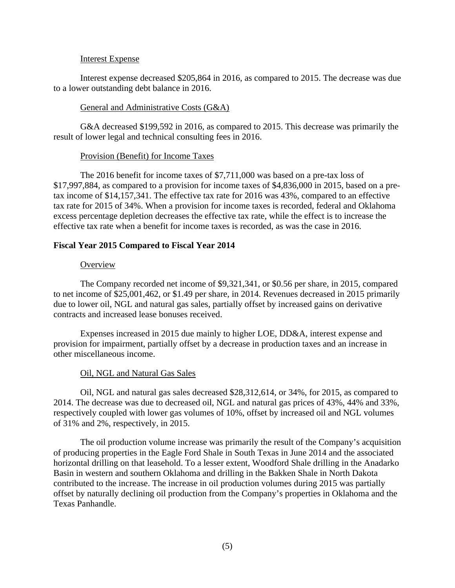#### Interest Expense

Interest expense decreased \$205,864 in 2016, as compared to 2015. The decrease was due to a lower outstanding debt balance in 2016.

#### General and Administrative Costs (G&A)

G&A decreased \$199,592 in 2016, as compared to 2015. This decrease was primarily the result of lower legal and technical consulting fees in 2016.

#### Provision (Benefit) for Income Taxes

The 2016 benefit for income taxes of \$7,711,000 was based on a pre-tax loss of \$17,997,884, as compared to a provision for income taxes of \$4,836,000 in 2015, based on a pretax income of \$14,157,341. The effective tax rate for 2016 was 43%, compared to an effective tax rate for 2015 of 34%. When a provision for income taxes is recorded, federal and Oklahoma excess percentage depletion decreases the effective tax rate, while the effect is to increase the effective tax rate when a benefit for income taxes is recorded, as was the case in 2016.

#### **Fiscal Year 2015 Compared to Fiscal Year 2014**

#### **Overview**

The Company recorded net income of \$9,321,341, or \$0.56 per share, in 2015, compared to net income of \$25,001,462, or \$1.49 per share, in 2014. Revenues decreased in 2015 primarily due to lower oil, NGL and natural gas sales, partially offset by increased gains on derivative contracts and increased lease bonuses received.

Expenses increased in 2015 due mainly to higher LOE, DD&A, interest expense and provision for impairment, partially offset by a decrease in production taxes and an increase in other miscellaneous income.

#### Oil, NGL and Natural Gas Sales

Oil, NGL and natural gas sales decreased \$28,312,614, or 34%, for 2015, as compared to 2014. The decrease was due to decreased oil, NGL and natural gas prices of 43%, 44% and 33%, respectively coupled with lower gas volumes of 10%, offset by increased oil and NGL volumes of 31% and 2%, respectively, in 2015.

The oil production volume increase was primarily the result of the Company's acquisition of producing properties in the Eagle Ford Shale in South Texas in June 2014 and the associated horizontal drilling on that leasehold. To a lesser extent, Woodford Shale drilling in the Anadarko Basin in western and southern Oklahoma and drilling in the Bakken Shale in North Dakota contributed to the increase. The increase in oil production volumes during 2015 was partially offset by naturally declining oil production from the Company's properties in Oklahoma and the Texas Panhandle.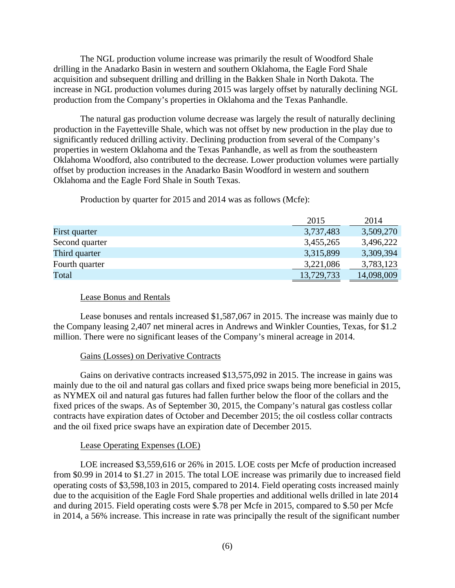The NGL production volume increase was primarily the result of Woodford Shale drilling in the Anadarko Basin in western and southern Oklahoma, the Eagle Ford Shale acquisition and subsequent drilling and drilling in the Bakken Shale in North Dakota. The increase in NGL production volumes during 2015 was largely offset by naturally declining NGL production from the Company's properties in Oklahoma and the Texas Panhandle.

The natural gas production volume decrease was largely the result of naturally declining production in the Fayetteville Shale, which was not offset by new production in the play due to significantly reduced drilling activity. Declining production from several of the Company's properties in western Oklahoma and the Texas Panhandle, as well as from the southeastern Oklahoma Woodford, also contributed to the decrease. Lower production volumes were partially offset by production increases in the Anadarko Basin Woodford in western and southern Oklahoma and the Eagle Ford Shale in South Texas.

Production by quarter for 2015 and 2014 was as follows (Mcfe):

|                | 2015       | 2014       |
|----------------|------------|------------|
| First quarter  | 3,737,483  | 3,509,270  |
| Second quarter | 3,455,265  | 3,496,222  |
| Third quarter  | 3,315,899  | 3,309,394  |
| Fourth quarter | 3,221,086  | 3,783,123  |
| Total          | 13,729,733 | 14,098,009 |

#### Lease Bonus and Rentals

Lease bonuses and rentals increased \$1,587,067 in 2015. The increase was mainly due to the Company leasing 2,407 net mineral acres in Andrews and Winkler Counties, Texas, for \$1.2 million. There were no significant leases of the Company's mineral acreage in 2014.

#### Gains (Losses) on Derivative Contracts

Gains on derivative contracts increased \$13,575,092 in 2015. The increase in gains was mainly due to the oil and natural gas collars and fixed price swaps being more beneficial in 2015, as NYMEX oil and natural gas futures had fallen further below the floor of the collars and the fixed prices of the swaps. As of September 30, 2015, the Company's natural gas costless collar contracts have expiration dates of October and December 2015; the oil costless collar contracts and the oil fixed price swaps have an expiration date of December 2015.

#### Lease Operating Expenses (LOE)

LOE increased \$3,559,616 or 26% in 2015. LOE costs per Mcfe of production increased from \$0.99 in 2014 to \$1.27 in 2015. The total LOE increase was primarily due to increased field operating costs of \$3,598,103 in 2015, compared to 2014. Field operating costs increased mainly due to the acquisition of the Eagle Ford Shale properties and additional wells drilled in late 2014 and during 2015. Field operating costs were \$.78 per Mcfe in 2015, compared to \$.50 per Mcfe in 2014, a 56% increase. This increase in rate was principally the result of the significant number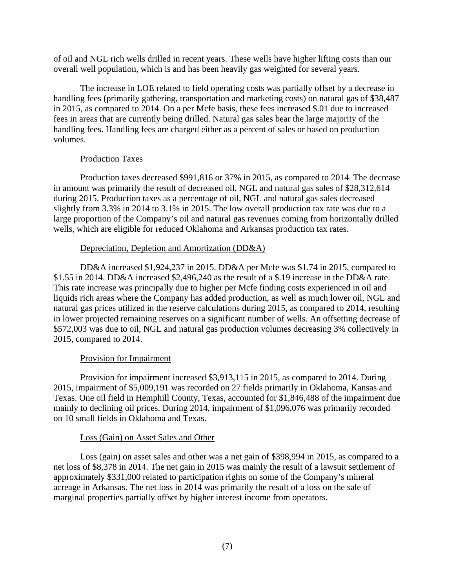of oil and NGL rich wells drilled in recent years. These wells have higher lifting costs than our overall well population, which is and has been heavily gas weighted for several years.

The increase in LOE related to field operating costs was partially offset by a decrease in handling fees (primarily gathering, transportation and marketing costs) on natural gas of \$38,487 in 2015, as compared to 2014. On a per Mcfe basis, these fees increased \$.01 due to increased fees in areas that are currently being drilled. Natural gas sales bear the large majority of the handling fees. Handling fees are charged either as a percent of sales or based on production volumes.

# Production Taxes

Production taxes decreased \$991,816 or 37% in 2015, as compared to 2014. The decrease in amount was primarily the result of decreased oil, NGL and natural gas sales of \$28,312,614 during 2015. Production taxes as a percentage of oil, NGL and natural gas sales decreased slightly from 3.3% in 2014 to 3.1% in 2015. The low overall production tax rate was due to a large proportion of the Company's oil and natural gas revenues coming from horizontally drilled wells, which are eligible for reduced Oklahoma and Arkansas production tax rates.

# Depreciation, Depletion and Amortization (DD&A)

DD&A increased \$1,924,237 in 2015. DD&A per Mcfe was \$1.74 in 2015, compared to \$1.55 in 2014. DD&A increased \$2,496,240 as the result of a \$.19 increase in the DD&A rate. This rate increase was principally due to higher per Mcfe finding costs experienced in oil and liquids rich areas where the Company has added production, as well as much lower oil, NGL and natural gas prices utilized in the reserve calculations during 2015, as compared to 2014, resulting in lower projected remaining reserves on a significant number of wells. An offsetting decrease of \$572,003 was due to oil, NGL and natural gas production volumes decreasing 3% collectively in 2015, compared to 2014.

# Provision for Impairment

Provision for impairment increased \$3,913,115 in 2015, as compared to 2014. During 2015, impairment of \$5,009,191 was recorded on 27 fields primarily in Oklahoma, Kansas and Texas. One oil field in Hemphill County, Texas, accounted for \$1,846,488 of the impairment due mainly to declining oil prices. During 2014, impairment of \$1,096,076 was primarily recorded on 10 small fields in Oklahoma and Texas.

# Loss (Gain) on Asset Sales and Other

Loss (gain) on asset sales and other was a net gain of \$398,994 in 2015, as compared to a net loss of \$8,378 in 2014. The net gain in 2015 was mainly the result of a lawsuit settlement of approximately \$331,000 related to participation rights on some of the Company's mineral acreage in Arkansas. The net loss in 2014 was primarily the result of a loss on the sale of marginal properties partially offset by higher interest income from operators.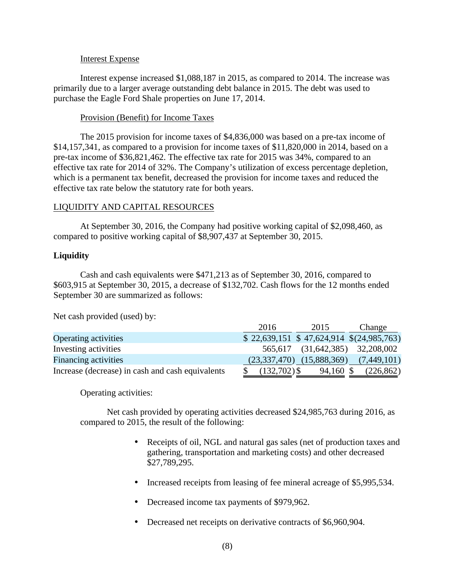#### Interest Expense

Interest expense increased \$1,088,187 in 2015, as compared to 2014. The increase was primarily due to a larger average outstanding debt balance in 2015. The debt was used to purchase the Eagle Ford Shale properties on June 17, 2014.

#### Provision (Benefit) for Income Taxes

The 2015 provision for income taxes of \$4,836,000 was based on a pre-tax income of \$14,157,341, as compared to a provision for income taxes of \$11,820,000 in 2014, based on a pre-tax income of \$36,821,462. The effective tax rate for 2015 was 34%, compared to an effective tax rate for 2014 of 32%. The Company's utilization of excess percentage depletion, which is a permanent tax benefit, decreased the provision for income taxes and reduced the effective tax rate below the statutory rate for both years.

# LIQUIDITY AND CAPITAL RESOURCES

At September 30, 2016, the Company had positive working capital of \$2,098,460, as compared to positive working capital of \$8,907,437 at September 30, 2015.

# **Liquidity**

Cash and cash equivalents were \$471,213 as of September 30, 2016, compared to \$603,915 at September 30, 2015, a decrease of \$132,702. Cash flows for the 12 months ended September 30 are summarized as follows:

Net cash provided (used) by:

|                                                  | 2016           | 2015                          | Change                                    |
|--------------------------------------------------|----------------|-------------------------------|-------------------------------------------|
| Operating activities                             |                |                               | $$22,639,151 \$47,624,914 \$(24,985,763)$ |
| Investing activities                             | 565.617        |                               | $(31,642,385)$ $32,208,002$               |
| Financing activities                             |                | $(23,337,470)$ $(15,888,369)$ | (7,449,101)                               |
| Increase (decrease) in cash and cash equivalents | $(132,702)$ \$ | 94,160 \$                     | (226, 862)                                |

Operating activities:

Net cash provided by operating activities decreased \$24,985,763 during 2016, as compared to 2015, the result of the following:

- Receipts of oil, NGL and natural gas sales (net of production taxes and gathering, transportation and marketing costs) and other decreased \$27,789,295.
- Increased receipts from leasing of fee mineral acreage of \$5,995,534.
- Decreased income tax payments of \$979,962.
- Decreased net receipts on derivative contracts of \$6,960,904.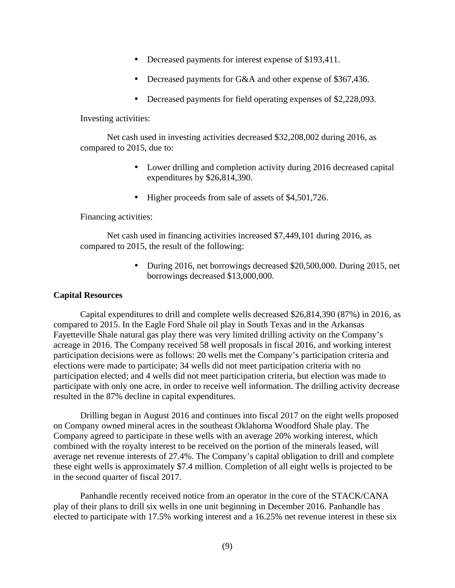- Decreased payments for interest expense of \$193,411.
- Decreased payments for G&A and other expense of \$367,436.
- Decreased payments for field operating expenses of \$2,228,093.

Investing activities:

Net cash used in investing activities decreased \$32,208,002 during 2016, as compared to 2015, due to:

- Lower drilling and completion activity during 2016 decreased capital expenditures by \$26,814,390.
- Higher proceeds from sale of assets of \$4,501,726.

Financing activities:

Net cash used in financing activities increased \$7,449,101 during 2016, as compared to 2015, the result of the following:

> • During 2016, net borrowings decreased \$20,500,000. During 2015, net borrowings decreased \$13,000,000.

#### **Capital Resources**

Capital expenditures to drill and complete wells decreased \$26,814,390 (87%) in 2016, as compared to 2015. In the Eagle Ford Shale oil play in South Texas and in the Arkansas Fayetteville Shale natural gas play there was very limited drilling activity on the Company's acreage in 2016. The Company received 58 well proposals in fiscal 2016, and working interest participation decisions were as follows: 20 wells met the Company's participation criteria and elections were made to participate; 34 wells did not meet participation criteria with no participation elected; and 4 wells did not meet participation criteria, but election was made to participate with only one acre, in order to receive well information. The drilling activity decrease resulted in the 87% decline in capital expenditures.

Drilling began in August 2016 and continues into fiscal 2017 on the eight wells proposed on Company owned mineral acres in the southeast Oklahoma Woodford Shale play. The Company agreed to participate in these wells with an average 20% working interest, which combined with the royalty interest to be received on the portion of the minerals leased, will average net revenue interests of 27.4%. The Company's capital obligation to drill and complete these eight wells is approximately \$7.4 million. Completion of all eight wells is projected to be in the second quarter of fiscal 2017.

Panhandle recently received notice from an operator in the core of the STACK/CANA play of their plans to drill six wells in one unit beginning in December 2016. Panhandle has elected to participate with 17.5% working interest and a 16.25% net revenue interest in these six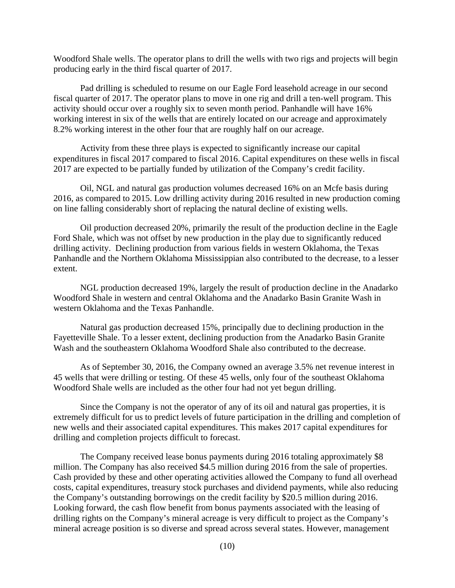Woodford Shale wells. The operator plans to drill the wells with two rigs and projects will begin producing early in the third fiscal quarter of 2017.

Pad drilling is scheduled to resume on our Eagle Ford leasehold acreage in our second fiscal quarter of 2017. The operator plans to move in one rig and drill a ten-well program. This activity should occur over a roughly six to seven month period. Panhandle will have 16% working interest in six of the wells that are entirely located on our acreage and approximately 8.2% working interest in the other four that are roughly half on our acreage.

Activity from these three plays is expected to significantly increase our capital expenditures in fiscal 2017 compared to fiscal 2016. Capital expenditures on these wells in fiscal 2017 are expected to be partially funded by utilization of the Company's credit facility.

Oil, NGL and natural gas production volumes decreased 16% on an Mcfe basis during 2016, as compared to 2015. Low drilling activity during 2016 resulted in new production coming on line falling considerably short of replacing the natural decline of existing wells.

Oil production decreased 20%, primarily the result of the production decline in the Eagle Ford Shale, which was not offset by new production in the play due to significantly reduced drilling activity. Declining production from various fields in western Oklahoma, the Texas Panhandle and the Northern Oklahoma Mississippian also contributed to the decrease, to a lesser extent.

NGL production decreased 19%, largely the result of production decline in the Anadarko Woodford Shale in western and central Oklahoma and the Anadarko Basin Granite Wash in western Oklahoma and the Texas Panhandle.

Natural gas production decreased 15%, principally due to declining production in the Fayetteville Shale. To a lesser extent, declining production from the Anadarko Basin Granite Wash and the southeastern Oklahoma Woodford Shale also contributed to the decrease.

As of September 30, 2016, the Company owned an average 3.5% net revenue interest in 45 wells that were drilling or testing. Of these 45 wells, only four of the southeast Oklahoma Woodford Shale wells are included as the other four had not yet begun drilling.

Since the Company is not the operator of any of its oil and natural gas properties, it is extremely difficult for us to predict levels of future participation in the drilling and completion of new wells and their associated capital expenditures. This makes 2017 capital expenditures for drilling and completion projects difficult to forecast.

The Company received lease bonus payments during 2016 totaling approximately \$8 million. The Company has also received \$4.5 million during 2016 from the sale of properties. Cash provided by these and other operating activities allowed the Company to fund all overhead costs, capital expenditures, treasury stock purchases and dividend payments, while also reducing the Company's outstanding borrowings on the credit facility by \$20.5 million during 2016. Looking forward, the cash flow benefit from bonus payments associated with the leasing of drilling rights on the Company's mineral acreage is very difficult to project as the Company's mineral acreage position is so diverse and spread across several states. However, management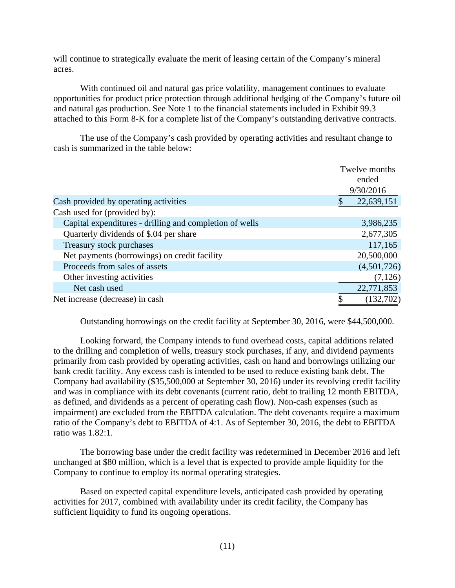will continue to strategically evaluate the merit of leasing certain of the Company's mineral acres.

With continued oil and natural gas price volatility, management continues to evaluate opportunities for product price protection through additional hedging of the Company's future oil and natural gas production. See Note 1 to the financial statements included in Exhibit 99.3 attached to this Form 8-K for a complete list of the Company's outstanding derivative contracts.

The use of the Company's cash provided by operating activities and resultant change to cash is summarized in the table below:

|                                                         | Twelve months<br>ended<br>9/30/2016 |
|---------------------------------------------------------|-------------------------------------|
| Cash provided by operating activities                   | \$<br>22,639,151                    |
| Cash used for (provided by):                            |                                     |
| Capital expenditures - drilling and completion of wells | 3,986,235                           |
| Quarterly dividends of \$.04 per share                  | 2,677,305                           |
| Treasury stock purchases                                | 117,165                             |
| Net payments (borrowings) on credit facility            | 20,500,000                          |
| Proceeds from sales of assets                           | (4,501,726)                         |
| Other investing activities                              | (7, 126)                            |
| Net cash used                                           | 22,771,853                          |
| Net increase (decrease) in cash                         | \$<br>(132,702)                     |

Outstanding borrowings on the credit facility at September 30, 2016, were \$44,500,000.

Looking forward, the Company intends to fund overhead costs, capital additions related to the drilling and completion of wells, treasury stock purchases, if any, and dividend payments primarily from cash provided by operating activities, cash on hand and borrowings utilizing our bank credit facility. Any excess cash is intended to be used to reduce existing bank debt. The Company had availability (\$35,500,000 at September 30, 2016) under its revolving credit facility and was in compliance with its debt covenants (current ratio, debt to trailing 12 month EBITDA, as defined, and dividends as a percent of operating cash flow). Non-cash expenses (such as impairment) are excluded from the EBITDA calculation. The debt covenants require a maximum ratio of the Company's debt to EBITDA of 4:1. As of September 30, 2016, the debt to EBITDA ratio was 1.82:1.

The borrowing base under the credit facility was redetermined in December 2016 and left unchanged at \$80 million, which is a level that is expected to provide ample liquidity for the Company to continue to employ its normal operating strategies.

Based on expected capital expenditure levels, anticipated cash provided by operating activities for 2017, combined with availability under its credit facility, the Company has sufficient liquidity to fund its ongoing operations.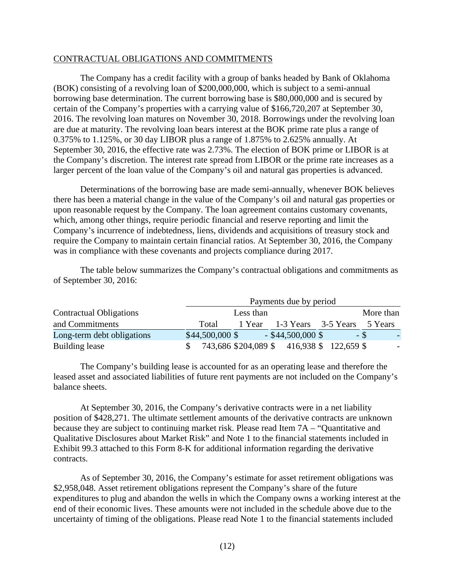#### CONTRACTUAL OBLIGATIONS AND COMMITMENTS

The Company has a credit facility with a group of banks headed by Bank of Oklahoma (BOK) consisting of a revolving loan of \$200,000,000, which is subject to a semi-annual borrowing base determination. The current borrowing base is \$80,000,000 and is secured by certain of the Company's properties with a carrying value of \$166,720,207 at September 30, 2016. The revolving loan matures on November 30, 2018. Borrowings under the revolving loan are due at maturity. The revolving loan bears interest at the BOK prime rate plus a range of 0.375% to 1.125%, or 30 day LIBOR plus a range of 1.875% to 2.625% annually. At September 30, 2016, the effective rate was 2.73%. The election of BOK prime or LIBOR is at the Company's discretion. The interest rate spread from LIBOR or the prime rate increases as a larger percent of the loan value of the Company's oil and natural gas properties is advanced.

Determinations of the borrowing base are made semi-annually, whenever BOK believes there has been a material change in the value of the Company's oil and natural gas properties or upon reasonable request by the Company. The loan agreement contains customary covenants, which, among other things, require periodic financial and reserve reporting and limit the Company's incurrence of indebtedness, liens, dividends and acquisitions of treasury stock and require the Company to maintain certain financial ratios. At September 30, 2016, the Company was in compliance with these covenants and projects compliance during 2017.

The table below summarizes the Company's contractual obligations and commitments as of September 30, 2016:

|                            | Payments due by period |           |                                          |  |           |  |
|----------------------------|------------------------|-----------|------------------------------------------|--|-----------|--|
| Contractual Obligations    |                        | Less than |                                          |  | More than |  |
| and Commitments            | Total                  |           | 1 Year 1-3 Years 3-5 Years 5 Years       |  |           |  |
| Long-term debt obligations | $$44,500,000$ \$       |           | $-$ \$44,500,000 \$                      |  | $-$ S     |  |
| Building lease             |                        |           | 743,686 \$204,089 \$416,938 \$122,659 \$ |  |           |  |

The Company's building lease is accounted for as an operating lease and therefore the leased asset and associated liabilities of future rent payments are not included on the Company's balance sheets.

At September 30, 2016, the Company's derivative contracts were in a net liability position of \$428,271. The ultimate settlement amounts of the derivative contracts are unknown because they are subject to continuing market risk. Please read Item 7A – "Quantitative and Qualitative Disclosures about Market Risk" and Note 1 to the financial statements included in Exhibit 99.3 attached to this Form 8-K for additional information regarding the derivative contracts.

As of September 30, 2016, the Company's estimate for asset retirement obligations was \$2,958,048. Asset retirement obligations represent the Company's share of the future expenditures to plug and abandon the wells in which the Company owns a working interest at the end of their economic lives. These amounts were not included in the schedule above due to the uncertainty of timing of the obligations. Please read Note 1 to the financial statements included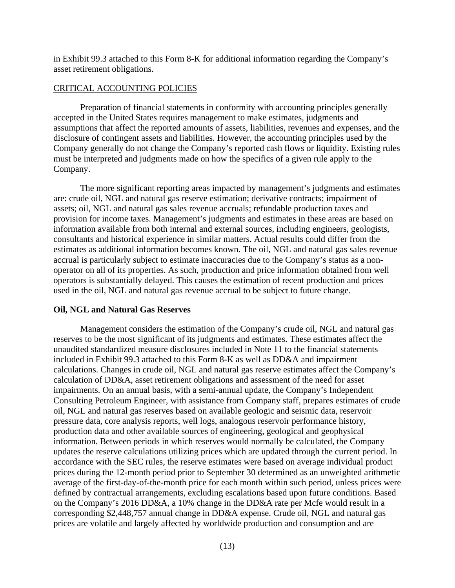in Exhibit 99.3 attached to this Form 8-K for additional information regarding the Company's asset retirement obligations.

#### CRITICAL ACCOUNTING POLICIES

Preparation of financial statements in conformity with accounting principles generally accepted in the United States requires management to make estimates, judgments and assumptions that affect the reported amounts of assets, liabilities, revenues and expenses, and the disclosure of contingent assets and liabilities. However, the accounting principles used by the Company generally do not change the Company's reported cash flows or liquidity. Existing rules must be interpreted and judgments made on how the specifics of a given rule apply to the Company.

The more significant reporting areas impacted by management's judgments and estimates are: crude oil, NGL and natural gas reserve estimation; derivative contracts; impairment of assets; oil, NGL and natural gas sales revenue accruals; refundable production taxes and provision for income taxes. Management's judgments and estimates in these areas are based on information available from both internal and external sources, including engineers, geologists, consultants and historical experience in similar matters. Actual results could differ from the estimates as additional information becomes known. The oil, NGL and natural gas sales revenue accrual is particularly subject to estimate inaccuracies due to the Company's status as a nonoperator on all of its properties. As such, production and price information obtained from well operators is substantially delayed. This causes the estimation of recent production and prices used in the oil, NGL and natural gas revenue accrual to be subject to future change.

#### **Oil, NGL and Natural Gas Reserves**

Management considers the estimation of the Company's crude oil, NGL and natural gas reserves to be the most significant of its judgments and estimates. These estimates affect the unaudited standardized measure disclosures included in Note 11 to the financial statements included in Exhibit 99.3 attached to this Form 8-K as well as DD&A and impairment calculations. Changes in crude oil, NGL and natural gas reserve estimates affect the Company's calculation of DD&A, asset retirement obligations and assessment of the need for asset impairments. On an annual basis, with a semi-annual update, the Company's Independent Consulting Petroleum Engineer, with assistance from Company staff, prepares estimates of crude oil, NGL and natural gas reserves based on available geologic and seismic data, reservoir pressure data, core analysis reports, well logs, analogous reservoir performance history, production data and other available sources of engineering, geological and geophysical information. Between periods in which reserves would normally be calculated, the Company updates the reserve calculations utilizing prices which are updated through the current period. In accordance with the SEC rules, the reserve estimates were based on average individual product prices during the 12-month period prior to September 30 determined as an unweighted arithmetic average of the first-day-of-the-month price for each month within such period, unless prices were defined by contractual arrangements, excluding escalations based upon future conditions. Based on the Company's 2016 DD&A, a 10% change in the DD&A rate per Mcfe would result in a corresponding \$2,448,757 annual change in DD&A expense. Crude oil, NGL and natural gas prices are volatile and largely affected by worldwide production and consumption and are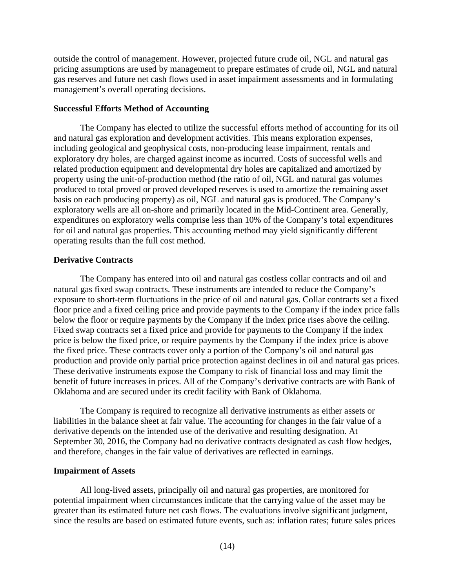outside the control of management. However, projected future crude oil, NGL and natural gas pricing assumptions are used by management to prepare estimates of crude oil, NGL and natural gas reserves and future net cash flows used in asset impairment assessments and in formulating management's overall operating decisions.

#### **Successful Efforts Method of Accounting**

The Company has elected to utilize the successful efforts method of accounting for its oil and natural gas exploration and development activities. This means exploration expenses, including geological and geophysical costs, non-producing lease impairment, rentals and exploratory dry holes, are charged against income as incurred. Costs of successful wells and related production equipment and developmental dry holes are capitalized and amortized by property using the unit-of-production method (the ratio of oil, NGL and natural gas volumes produced to total proved or proved developed reserves is used to amortize the remaining asset basis on each producing property) as oil, NGL and natural gas is produced. The Company's exploratory wells are all on-shore and primarily located in the Mid-Continent area. Generally, expenditures on exploratory wells comprise less than 10% of the Company's total expenditures for oil and natural gas properties. This accounting method may yield significantly different operating results than the full cost method.

#### **Derivative Contracts**

The Company has entered into oil and natural gas costless collar contracts and oil and natural gas fixed swap contracts. These instruments are intended to reduce the Company's exposure to short-term fluctuations in the price of oil and natural gas. Collar contracts set a fixed floor price and a fixed ceiling price and provide payments to the Company if the index price falls below the floor or require payments by the Company if the index price rises above the ceiling. Fixed swap contracts set a fixed price and provide for payments to the Company if the index price is below the fixed price, or require payments by the Company if the index price is above the fixed price. These contracts cover only a portion of the Company's oil and natural gas production and provide only partial price protection against declines in oil and natural gas prices. These derivative instruments expose the Company to risk of financial loss and may limit the benefit of future increases in prices. All of the Company's derivative contracts are with Bank of Oklahoma and are secured under its credit facility with Bank of Oklahoma.

The Company is required to recognize all derivative instruments as either assets or liabilities in the balance sheet at fair value. The accounting for changes in the fair value of a derivative depends on the intended use of the derivative and resulting designation. At September 30, 2016, the Company had no derivative contracts designated as cash flow hedges, and therefore, changes in the fair value of derivatives are reflected in earnings.

#### **Impairment of Assets**

All long-lived assets, principally oil and natural gas properties, are monitored for potential impairment when circumstances indicate that the carrying value of the asset may be greater than its estimated future net cash flows. The evaluations involve significant judgment, since the results are based on estimated future events, such as: inflation rates; future sales prices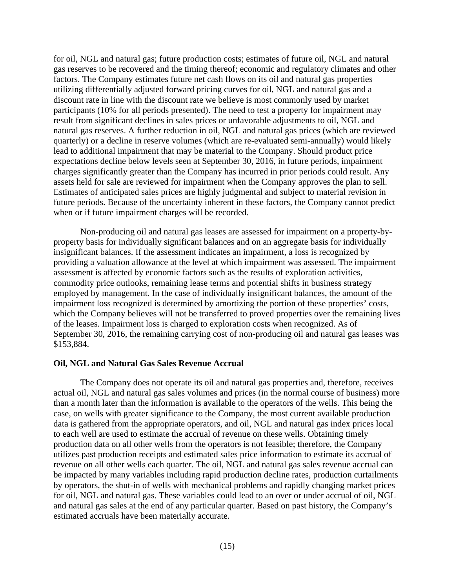for oil, NGL and natural gas; future production costs; estimates of future oil, NGL and natural gas reserves to be recovered and the timing thereof; economic and regulatory climates and other factors. The Company estimates future net cash flows on its oil and natural gas properties utilizing differentially adjusted forward pricing curves for oil, NGL and natural gas and a discount rate in line with the discount rate we believe is most commonly used by market participants (10% for all periods presented). The need to test a property for impairment may result from significant declines in sales prices or unfavorable adjustments to oil, NGL and natural gas reserves. A further reduction in oil, NGL and natural gas prices (which are reviewed quarterly) or a decline in reserve volumes (which are re-evaluated semi-annually) would likely lead to additional impairment that may be material to the Company. Should product price expectations decline below levels seen at September 30, 2016, in future periods, impairment charges significantly greater than the Company has incurred in prior periods could result. Any assets held for sale are reviewed for impairment when the Company approves the plan to sell. Estimates of anticipated sales prices are highly judgmental and subject to material revision in future periods. Because of the uncertainty inherent in these factors, the Company cannot predict when or if future impairment charges will be recorded.

Non-producing oil and natural gas leases are assessed for impairment on a property-byproperty basis for individually significant balances and on an aggregate basis for individually insignificant balances. If the assessment indicates an impairment, a loss is recognized by providing a valuation allowance at the level at which impairment was assessed. The impairment assessment is affected by economic factors such as the results of exploration activities, commodity price outlooks, remaining lease terms and potential shifts in business strategy employed by management. In the case of individually insignificant balances, the amount of the impairment loss recognized is determined by amortizing the portion of these properties' costs, which the Company believes will not be transferred to proved properties over the remaining lives of the leases. Impairment loss is charged to exploration costs when recognized. As of September 30, 2016, the remaining carrying cost of non-producing oil and natural gas leases was \$153,884.

#### **Oil, NGL and Natural Gas Sales Revenue Accrual**

The Company does not operate its oil and natural gas properties and, therefore, receives actual oil, NGL and natural gas sales volumes and prices (in the normal course of business) more than a month later than the information is available to the operators of the wells. This being the case, on wells with greater significance to the Company, the most current available production data is gathered from the appropriate operators, and oil, NGL and natural gas index prices local to each well are used to estimate the accrual of revenue on these wells. Obtaining timely production data on all other wells from the operators is not feasible; therefore, the Company utilizes past production receipts and estimated sales price information to estimate its accrual of revenue on all other wells each quarter. The oil, NGL and natural gas sales revenue accrual can be impacted by many variables including rapid production decline rates, production curtailments by operators, the shut-in of wells with mechanical problems and rapidly changing market prices for oil, NGL and natural gas. These variables could lead to an over or under accrual of oil, NGL and natural gas sales at the end of any particular quarter. Based on past history, the Company's estimated accruals have been materially accurate.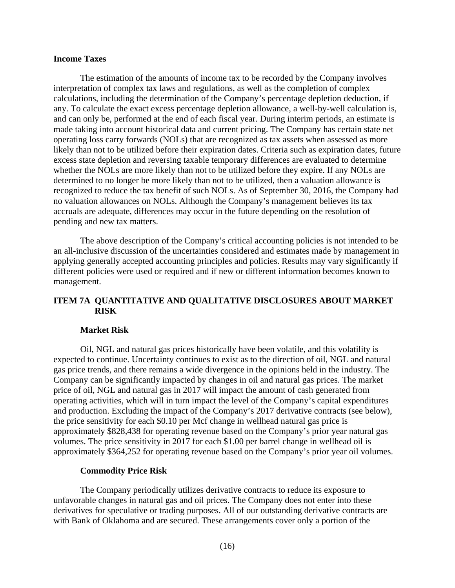#### **Income Taxes**

The estimation of the amounts of income tax to be recorded by the Company involves interpretation of complex tax laws and regulations, as well as the completion of complex calculations, including the determination of the Company's percentage depletion deduction, if any. To calculate the exact excess percentage depletion allowance, a well-by-well calculation is, and can only be, performed at the end of each fiscal year. During interim periods, an estimate is made taking into account historical data and current pricing. The Company has certain state net operating loss carry forwards (NOLs) that are recognized as tax assets when assessed as more likely than not to be utilized before their expiration dates. Criteria such as expiration dates, future excess state depletion and reversing taxable temporary differences are evaluated to determine whether the NOLs are more likely than not to be utilized before they expire. If any NOLs are determined to no longer be more likely than not to be utilized, then a valuation allowance is recognized to reduce the tax benefit of such NOLs. As of September 30, 2016, the Company had no valuation allowances on NOLs. Although the Company's management believes its tax accruals are adequate, differences may occur in the future depending on the resolution of pending and new tax matters.

The above description of the Company's critical accounting policies is not intended to be an all-inclusive discussion of the uncertainties considered and estimates made by management in applying generally accepted accounting principles and policies. Results may vary significantly if different policies were used or required and if new or different information becomes known to management.

# **ITEM 7A QUANTITATIVE AND QUALITATIVE DISCLOSURES ABOUT MARKET RISK**

#### **Market Risk**

Oil, NGL and natural gas prices historically have been volatile, and this volatility is expected to continue. Uncertainty continues to exist as to the direction of oil, NGL and natural gas price trends, and there remains a wide divergence in the opinions held in the industry. The Company can be significantly impacted by changes in oil and natural gas prices. The market price of oil, NGL and natural gas in 2017 will impact the amount of cash generated from operating activities, which will in turn impact the level of the Company's capital expenditures and production. Excluding the impact of the Company's 2017 derivative contracts (see below), the price sensitivity for each \$0.10 per Mcf change in wellhead natural gas price is approximately \$828,438 for operating revenue based on the Company's prior year natural gas volumes. The price sensitivity in 2017 for each \$1.00 per barrel change in wellhead oil is approximately \$364,252 for operating revenue based on the Company's prior year oil volumes.

#### **Commodity Price Risk**

The Company periodically utilizes derivative contracts to reduce its exposure to unfavorable changes in natural gas and oil prices. The Company does not enter into these derivatives for speculative or trading purposes. All of our outstanding derivative contracts are with Bank of Oklahoma and are secured. These arrangements cover only a portion of the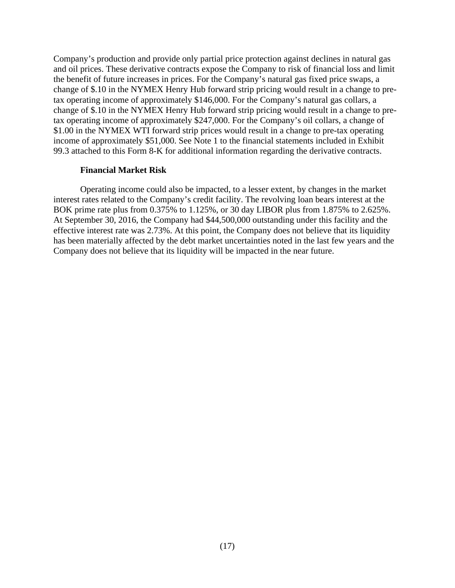Company's production and provide only partial price protection against declines in natural gas and oil prices. These derivative contracts expose the Company to risk of financial loss and limit the benefit of future increases in prices. For the Company's natural gas fixed price swaps, a change of \$.10 in the NYMEX Henry Hub forward strip pricing would result in a change to pretax operating income of approximately \$146,000. For the Company's natural gas collars, a change of \$.10 in the NYMEX Henry Hub forward strip pricing would result in a change to pretax operating income of approximately \$247,000. For the Company's oil collars, a change of \$1.00 in the NYMEX WTI forward strip prices would result in a change to pre-tax operating income of approximately \$51,000. See Note 1 to the financial statements included in Exhibit 99.3 attached to this Form 8-K for additional information regarding the derivative contracts.

#### **Financial Market Risk**

Operating income could also be impacted, to a lesser extent, by changes in the market interest rates related to the Company's credit facility. The revolving loan bears interest at the BOK prime rate plus from 0.375% to 1.125%, or 30 day LIBOR plus from 1.875% to 2.625%. At September 30, 2016, the Company had \$44,500,000 outstanding under this facility and the effective interest rate was 2.73%. At this point, the Company does not believe that its liquidity has been materially affected by the debt market uncertainties noted in the last few years and the Company does not believe that its liquidity will be impacted in the near future.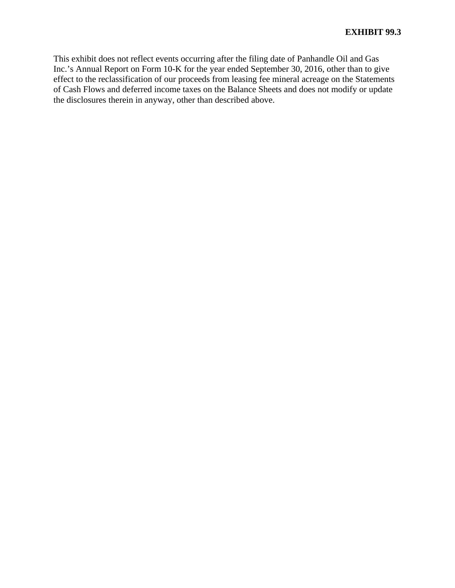This exhibit does not reflect events occurring after the filing date of Panhandle Oil and Gas Inc.'s Annual Report on Form 10-K for the year ended September 30, 2016, other than to give effect to the reclassification of our proceeds from leasing fee mineral acreage on the Statements of Cash Flows and deferred income taxes on the Balance Sheets and does not modify or update the disclosures therein in anyway, other than described above.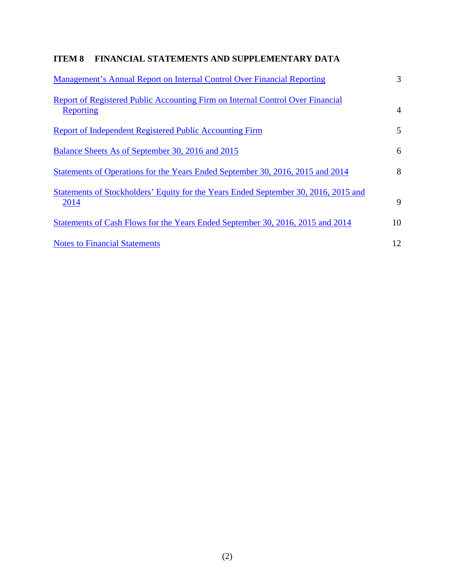# **ITEM 8 FINANCIAL STATEMENTS AND SUPPLEMENTARY DATA**

| Management's Annual Report on Internal Control Over Financial Reporting                            | 3              |
|----------------------------------------------------------------------------------------------------|----------------|
| Report of Registered Public Accounting Firm on Internal Control Over Financial<br><b>Reporting</b> | $\overline{4}$ |
| Report of Independent Registered Public Accounting Firm                                            | 5              |
| Balance Sheets As of September 30, 2016 and 2015                                                   | 6              |
| Statements of Operations for the Years Ended September 30, 2016, 2015 and 2014                     | 8              |
| Statements of Stockholders' Equity for the Years Ended September 30, 2016, 2015 and<br>2014        | 9              |
| Statements of Cash Flows for the Years Ended September 30, 2016, 2015 and 2014                     | 10             |
| <b>Notes to Financial Statements</b>                                                               | 12             |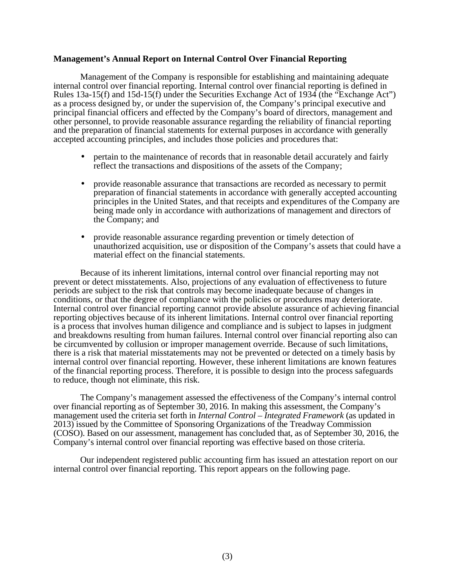#### <span id="page-25-0"></span>**Management's Annual Report on Internal Control Over Financial Reporting**

Management of the Company is responsible for establishing and maintaining adequate internal control over financial reporting. Internal control over financial reporting is defined in Rules 13a-15(f) and 15d-15(f) under the Securities Exchange Act of 1934 (the "Exchange Act") as a process designed by, or under the supervision of, the Company's principal executive and principal financial officers and effected by the Company's board of directors, management and other personnel, to provide reasonable assurance regarding the reliability of financial reporting and the preparation of financial statements for external purposes in accordance with generally accepted accounting principles, and includes those policies and procedures that:

- pertain to the maintenance of records that in reasonable detail accurately and fairly reflect the transactions and dispositions of the assets of the Company;
- provide reasonable assurance that transactions are recorded as necessary to permit preparation of financial statements in accordance with generally accepted accounting principles in the United States, and that receipts and expenditures of the Company are being made only in accordance with authorizations of management and directors of the Company; and
- provide reasonable assurance regarding prevention or timely detection of unauthorized acquisition, use or disposition of the Company's assets that could have a material effect on the financial statements.

Because of its inherent limitations, internal control over financial reporting may not prevent or detect misstatements. Also, projections of any evaluation of effectiveness to future periods are subject to the risk that controls may become inadequate because of changes in conditions, or that the degree of compliance with the policies or procedures may deteriorate. Internal control over financial reporting cannot provide absolute assurance of achieving financial reporting objectives because of its inherent limitations. Internal control over financial reporting is a process that involves human diligence and compliance and is subject to lapses in judgment and breakdowns resulting from human failures. Internal control over financial reporting also can be circumvented by collusion or improper management override. Because of such limitations, there is a risk that material misstatements may not be prevented or detected on a timely basis by internal control over financial reporting. However, these inherent limitations are known features of the financial reporting process. Therefore, it is possible to design into the process safeguards to reduce, though not eliminate, this risk.

The Company's management assessed the effectiveness of the Company's internal control over financial reporting as of September 30, 2016. In making this assessment, the Company's management used the criteria set forth in *Internal Control – Integrated Framework* (as updated in 2013) issued by the Committee of Sponsoring Organizations of the Treadway Commission (COSO). Based on our assessment, management has concluded that, as of September 30, 2016, the Company's internal control over financial reporting was effective based on those criteria.

Our independent registered public accounting firm has issued an attestation report on our internal control over financial reporting. This report appears on the following page.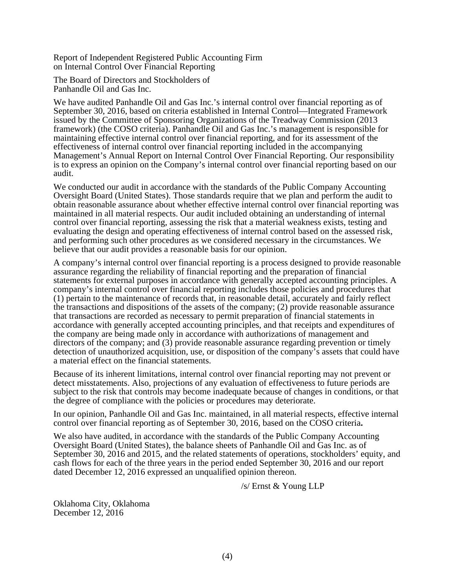<span id="page-26-0"></span>Report of Independent Registered Public Accounting Firm on Internal Control Over Financial Reporting

The Board of Directors and Stockholders of Panhandle Oil and Gas Inc.

We have audited Panhandle Oil and Gas Inc.'s internal control over financial reporting as of September 30, 2016, based on criteria established in Internal Control—Integrated Framework issued by the Committee of Sponsoring Organizations of the Treadway Commission (2013 framework) (the COSO criteria). Panhandle Oil and Gas Inc.'s management is responsible for maintaining effective internal control over financial reporting, and for its assessment of the effectiveness of internal control over financial reporting included in the accompanying Management's Annual Report on Internal Control Over Financial Reporting. Our responsibility is to express an opinion on the Company's internal control over financial reporting based on our audit.

We conducted our audit in accordance with the standards of the Public Company Accounting Oversight Board (United States). Those standards require that we plan and perform the audit to obtain reasonable assurance about whether effective internal control over financial reporting was maintained in all material respects. Our audit included obtaining an understanding of internal control over financial reporting, assessing the risk that a material weakness exists, testing and evaluating the design and operating effectiveness of internal control based on the assessed risk, and performing such other procedures as we considered necessary in the circumstances. We believe that our audit provides a reasonable basis for our opinion.

A company's internal control over financial reporting is a process designed to provide reasonable assurance regarding the reliability of financial reporting and the preparation of financial statements for external purposes in accordance with generally accepted accounting principles. A company's internal control over financial reporting includes those policies and procedures that (1) pertain to the maintenance of records that, in reasonable detail, accurately and fairly reflect the transactions and dispositions of the assets of the company; (2) provide reasonable assurance that transactions are recorded as necessary to permit preparation of financial statements in accordance with generally accepted accounting principles, and that receipts and expenditures of the company are being made only in accordance with authorizations of management and directors of the company; and (3) provide reasonable assurance regarding prevention or timely detection of unauthorized acquisition, use, or disposition of the company's assets that could have a material effect on the financial statements.

Because of its inherent limitations, internal control over financial reporting may not prevent or detect misstatements. Also, projections of any evaluation of effectiveness to future periods are subject to the risk that controls may become inadequate because of changes in conditions, or that the degree of compliance with the policies or procedures may deteriorate.

In our opinion, Panhandle Oil and Gas Inc. maintained, in all material respects, effective internal control over financial reporting as of September 30, 2016, based on the COSO criteria**.**

We also have audited, in accordance with the standards of the Public Company Accounting Oversight Board (United States), the balance sheets of Panhandle Oil and Gas Inc. as of September 30, 2016 and 2015, and the related statements of operations, stockholders' equity, and cash flows for each of the three years in the period ended September 30, 2016 and our report dated December 12, 2016 expressed an unqualified opinion thereon.

/s/ Ernst & Young LLP

Oklahoma City, Oklahoma December 12, 2016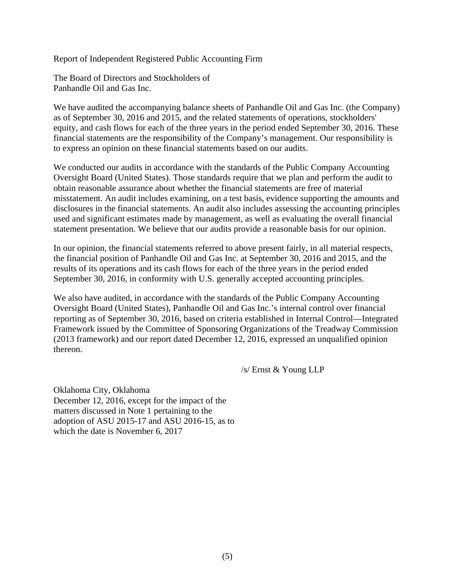<span id="page-27-0"></span>Report of Independent Registered Public Accounting Firm

The Board of Directors and Stockholders of Panhandle Oil and Gas Inc.

We have audited the accompanying balance sheets of Panhandle Oil and Gas Inc. (the Company) as of September 30, 2016 and 2015, and the related statements of operations, stockholders' equity, and cash flows for each of the three years in the period ended September 30, 2016. These financial statements are the responsibility of the Company's management. Our responsibility is to express an opinion on these financial statements based on our audits.

We conducted our audits in accordance with the standards of the Public Company Accounting Oversight Board (United States). Those standards require that we plan and perform the audit to obtain reasonable assurance about whether the financial statements are free of material misstatement. An audit includes examining, on a test basis, evidence supporting the amounts and disclosures in the financial statements. An audit also includes assessing the accounting principles used and significant estimates made by management, as well as evaluating the overall financial statement presentation. We believe that our audits provide a reasonable basis for our opinion.

In our opinion, the financial statements referred to above present fairly, in all material respects, the financial position of Panhandle Oil and Gas Inc. at September 30, 2016 and 2015, and the results of its operations and its cash flows for each of the three years in the period ended September 30, 2016, in conformity with U.S. generally accepted accounting principles.

We also have audited, in accordance with the standards of the Public Company Accounting Oversight Board (United States), Panhandle Oil and Gas Inc.'s internal control over financial reporting as of September 30, 2016, based on criteria established in Internal Control—Integrated Framework issued by the Committee of Sponsoring Organizations of the Treadway Commission (2013 framework) and our report dated December 12, 2016, expressed an unqualified opinion thereon.

/s/ Ernst & Young LLP

Oklahoma City, Oklahoma December 12, 2016, except for the impact of the matters discussed in Note 1 pertaining to the adoption of ASU 2015-17 and ASU 2016-15, as to which the date is November 6, 2017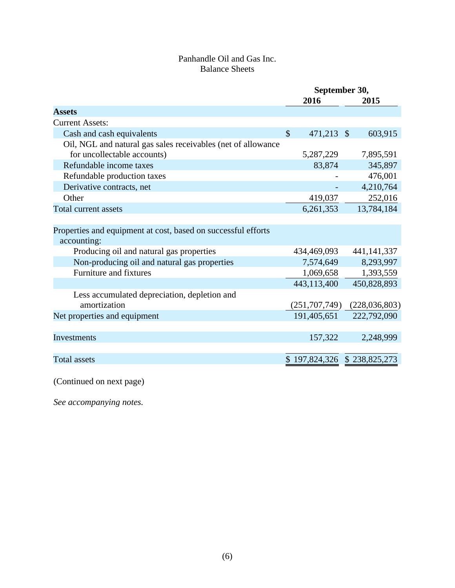# <span id="page-28-0"></span>Panhandle Oil and Gas Inc. Balance Sheets

|                                                               | September 30, |                 |  |                             |
|---------------------------------------------------------------|---------------|-----------------|--|-----------------------------|
|                                                               |               | 2016            |  | 2015                        |
| <b>Assets</b>                                                 |               |                 |  |                             |
| <b>Current Assets:</b>                                        |               |                 |  |                             |
| Cash and cash equivalents                                     | $\mathcal{S}$ | 471,213 \$      |  | 603,915                     |
| Oil, NGL and natural gas sales receivables (net of allowance  |               |                 |  |                             |
| for uncollectable accounts)                                   |               | 5,287,229       |  | 7,895,591                   |
| Refundable income taxes                                       |               | 83,874          |  | 345,897                     |
| Refundable production taxes                                   |               |                 |  | 476,001                     |
| Derivative contracts, net                                     |               |                 |  | 4,210,764                   |
| Other                                                         |               | 419,037         |  | 252,016                     |
| <b>Total current assets</b>                                   |               | 6,261,353       |  | 13,784,184                  |
|                                                               |               |                 |  |                             |
| Properties and equipment at cost, based on successful efforts |               |                 |  |                             |
| accounting:                                                   |               |                 |  |                             |
| Producing oil and natural gas properties                      |               | 434,469,093     |  | 441, 141, 337               |
| Non-producing oil and natural gas properties                  |               | 7,574,649       |  | 8,293,997                   |
| Furniture and fixtures                                        |               | 1,069,658       |  | 1,393,559                   |
|                                                               |               | 443,113,400     |  | 450,828,893                 |
| Less accumulated depreciation, depletion and                  |               |                 |  |                             |
| amortization                                                  |               | (251, 707, 749) |  | (228, 036, 803)             |
| Net properties and equipment                                  |               | 191,405,651     |  | 222,792,090                 |
|                                                               |               |                 |  |                             |
| <b>Investments</b>                                            |               | 157,322         |  | 2,248,999                   |
|                                                               |               |                 |  |                             |
| <b>Total assets</b>                                           |               |                 |  | \$197,824,326 \$238,825,273 |
|                                                               |               |                 |  |                             |
|                                                               |               |                 |  |                             |

(Continued on next page)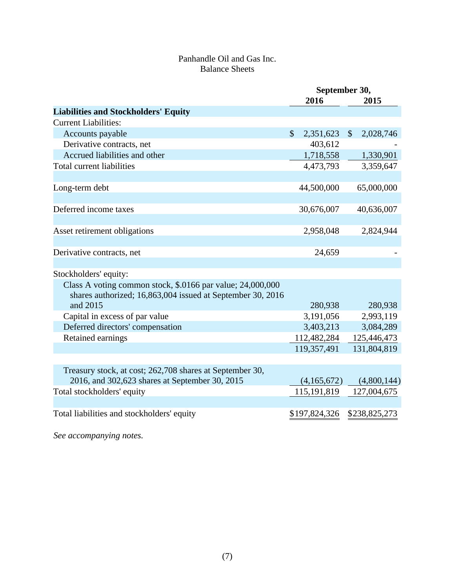# Panhandle Oil and Gas Inc. Balance Sheets

|                                                            |               | September 30, |             |               |  |
|------------------------------------------------------------|---------------|---------------|-------------|---------------|--|
|                                                            |               | 2016          |             | 2015          |  |
| <b>Liabilities and Stockholders' Equity</b>                |               |               |             |               |  |
| <b>Current Liabilities:</b>                                |               |               |             |               |  |
| Accounts payable                                           | $\mathcal{S}$ | 2,351,623     | $\sqrt{\ }$ | 2,028,746     |  |
| Derivative contracts, net                                  |               | 403,612       |             |               |  |
| Accrued liabilities and other                              |               | 1,718,558     |             | 1,330,901     |  |
| Total current liabilities                                  |               | 4,473,793     |             | 3,359,647     |  |
|                                                            |               |               |             |               |  |
| Long-term debt                                             |               | 44,500,000    |             | 65,000,000    |  |
|                                                            |               |               |             |               |  |
| Deferred income taxes                                      |               | 30,676,007    |             | 40,636,007    |  |
|                                                            |               |               |             |               |  |
| Asset retirement obligations                               |               | 2,958,048     |             | 2,824,944     |  |
|                                                            |               |               |             |               |  |
| Derivative contracts, net                                  |               | 24,659        |             |               |  |
|                                                            |               |               |             |               |  |
| Stockholders' equity:                                      |               |               |             |               |  |
| Class A voting common stock, \$.0166 par value; 24,000,000 |               |               |             |               |  |
| shares authorized; 16,863,004 issued at September 30, 2016 |               |               |             |               |  |
| and 2015                                                   |               | 280,938       |             | 280,938       |  |
| Capital in excess of par value                             |               | 3,191,056     |             | 2,993,119     |  |
| Deferred directors' compensation                           |               | 3,403,213     |             | 3,084,289     |  |
| Retained earnings                                          |               | 112,482,284   |             | 125,446,473   |  |
|                                                            |               | 119,357,491   |             | 131,804,819   |  |
|                                                            |               |               |             |               |  |
| Treasury stock, at cost; 262,708 shares at September 30,   |               |               |             |               |  |
| 2016, and 302,623 shares at September 30, 2015             |               | (4,165,672)   |             | (4,800,144)   |  |
| Total stockholders' equity                                 |               | 115,191,819   |             | 127,004,675   |  |
|                                                            |               |               |             |               |  |
| Total liabilities and stockholders' equity                 |               | \$197,824,326 |             | \$238,825,273 |  |
|                                                            |               |               |             |               |  |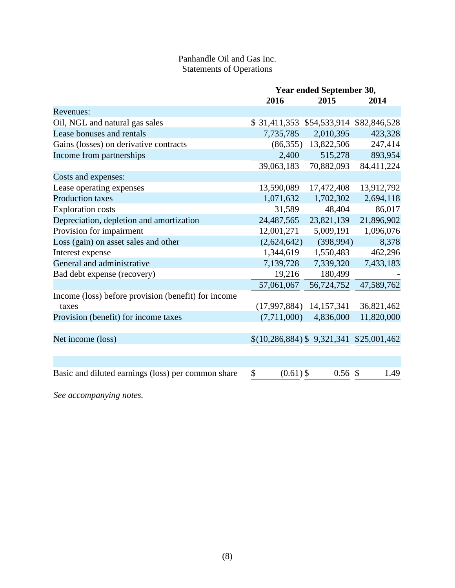# <span id="page-30-0"></span>Panhandle Oil and Gas Inc. Statements of Operations

|                                                     | Year ended September 30,                    |              |            |  |
|-----------------------------------------------------|---------------------------------------------|--------------|------------|--|
|                                                     | 2016                                        | 2015         | 2014       |  |
| Revenues:                                           |                                             |              |            |  |
| Oil, NGL and natural gas sales                      | \$31,411,353 \$54,533,914 \$82,846,528      |              |            |  |
| Lease bonuses and rentals                           | 7,735,785                                   | 2,010,395    | 423,328    |  |
| Gains (losses) on derivative contracts              | (86,355)                                    | 13,822,506   | 247,414    |  |
| Income from partnerships                            | 2,400                                       | 515,278      | 893,954    |  |
|                                                     | 39,063,183                                  | 70,882,093   | 84,411,224 |  |
| Costs and expenses:                                 |                                             |              |            |  |
| Lease operating expenses                            | 13,590,089                                  | 17,472,408   | 13,912,792 |  |
| <b>Production taxes</b>                             | 1,071,632                                   | 1,702,302    | 2,694,118  |  |
| <b>Exploration costs</b>                            | 31,589                                      | 48,404       | 86,017     |  |
| Depreciation, depletion and amortization            | 24,487,565                                  | 23,821,139   | 21,896,902 |  |
| Provision for impairment                            | 12,001,271                                  | 5,009,191    | 1,096,076  |  |
| Loss (gain) on asset sales and other                | (2,624,642)                                 | (398, 994)   | 8,378      |  |
| Interest expense                                    | 1,344,619                                   | 1,550,483    | 462,296    |  |
| General and administrative                          | 7,139,728                                   | 7,339,320    | 7,433,183  |  |
| Bad debt expense (recovery)                         | 19,216                                      | 180,499      |            |  |
|                                                     | 57,061,067                                  | 56,724,752   | 47,589,762 |  |
| Income (loss) before provision (benefit) for income |                                             |              |            |  |
| taxes                                               | (17,997,884)                                | 14, 157, 341 | 36,821,462 |  |
| Provision (benefit) for income taxes                | (7,711,000)                                 | 4,836,000    | 11,820,000 |  |
|                                                     |                                             |              |            |  |
| Net income (loss)                                   | $$(10,286,884)$ \$ $9,321,341$ \$25,001,462 |              |            |  |
|                                                     |                                             |              |            |  |
|                                                     |                                             |              |            |  |
| Basic and diluted earnings (loss) per common share  | \$<br>$(0.61)$ \$                           | 0.56         | \$<br>1.49 |  |
|                                                     |                                             |              |            |  |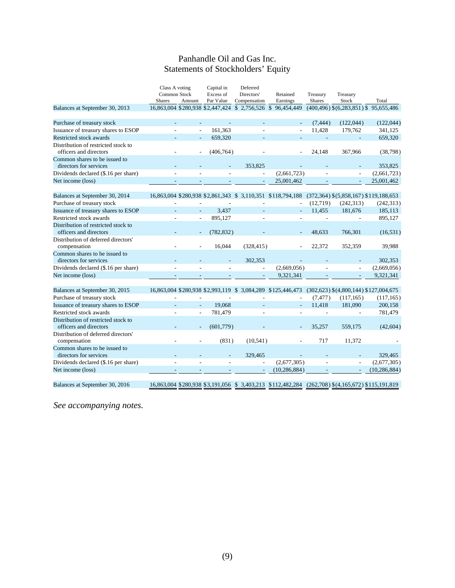# <span id="page-31-0"></span>Panhandle Oil and Gas Inc. Statements of Stockholders' Equity

|                                                               | Class A voting |                          | Capital in | Deferred                                        |                                                                                                  |                |                                               |                |
|---------------------------------------------------------------|----------------|--------------------------|------------|-------------------------------------------------|--------------------------------------------------------------------------------------------------|----------------|-----------------------------------------------|----------------|
|                                                               | Common Stock   |                          | Excess of  | Directors'                                      | Retained                                                                                         | Treasury       | Treasury                                      |                |
|                                                               | <b>Shares</b>  | Amount                   | Par Value  | Compensation                                    | Earnings                                                                                         | <b>Shares</b>  | Stock                                         | Total          |
| Balances at September 30, 2013                                |                |                          |            | 16,863,004 \$280,938 \$2,447,424 \$2,756,526 \$ | 96,454,449                                                                                       |                | $(400, 496)$ \$ $(6, 283, 851)$ \$ 95,655,486 |                |
| Purchase of treasury stock                                    |                |                          |            |                                                 |                                                                                                  | (7, 444)       | (122,044)                                     | (122, 044)     |
| Issuance of treasury shares to ESOP                           |                | $\overline{a}$           | 161,363    |                                                 |                                                                                                  | 11,428         | 179,762                                       | 341,125        |
| Restricted stock awards                                       |                | $\blacksquare$           | 659,320    |                                                 |                                                                                                  | $\overline{a}$ |                                               | 659,320        |
| Distribution of restricted stock to                           |                |                          |            |                                                 |                                                                                                  |                |                                               |                |
| officers and directors                                        |                |                          | (406, 764) |                                                 |                                                                                                  | 24,148         | 367,966                                       | (38, 798)      |
| Common shares to be issued to                                 |                |                          |            |                                                 |                                                                                                  |                |                                               |                |
| directors for services                                        |                |                          |            | 353,825                                         |                                                                                                  |                |                                               | 353,825        |
| Dividends declared (\$.16 per share)                          |                |                          |            | $\frac{1}{2}$                                   | (2,661,723)                                                                                      |                |                                               | (2,661,723)    |
| Net income (loss)                                             |                |                          |            | $\overline{\phantom{a}}$                        | 25,001,462                                                                                       |                | $\sim$                                        | 25,001,462     |
|                                                               |                |                          |            |                                                 |                                                                                                  |                |                                               |                |
| Balances at September 30, 2014                                |                |                          |            |                                                 | 16,863,004 \$280,938 \$2,861,343 \$3,110,351 \$118,794,188 (372,364) \$(5,858,167) \$119,188,653 |                |                                               |                |
| Purchase of treasury stock                                    |                | $\overline{a}$           |            | $\overline{\phantom{a}}$                        |                                                                                                  | (12,719)       | (242, 313)                                    | (242, 313)     |
| Issuance of treasury shares to ESOP                           |                | $\overline{\phantom{a}}$ | 3,437      |                                                 |                                                                                                  | 11,455         | 181,676                                       | 185,113        |
| Restricted stock awards                                       |                | $\overline{\phantom{a}}$ | 895,127    | L.                                              | ÷.                                                                                               | $\overline{a}$ |                                               | 895,127        |
| Distribution of restricted stock to<br>officers and directors |                |                          | (782, 832) |                                                 |                                                                                                  | 48.633         | 766,301                                       | (16, 531)      |
| Distribution of deferred directors'                           |                |                          |            |                                                 |                                                                                                  |                |                                               |                |
| compensation                                                  |                |                          | 16,044     | (328, 415)                                      |                                                                                                  | 22,372         | 352,359                                       | 39,988         |
| Common shares to be issued to                                 |                |                          |            |                                                 |                                                                                                  |                |                                               |                |
| directors for services                                        |                |                          |            | 302,353                                         |                                                                                                  |                |                                               | 302,353        |
| Dividends declared (\$.16 per share)                          |                |                          |            | $\overline{\phantom{a}}$                        | (2,669,056)                                                                                      |                |                                               | (2,669,056)    |
| Net income (loss)                                             |                |                          |            |                                                 | 9,321,341                                                                                        |                |                                               | 9,321,341      |
|                                                               |                |                          |            |                                                 |                                                                                                  |                |                                               |                |
| Balances at September 30, 2015                                |                |                          |            |                                                 | 16,863,004 \$280,938 \$2,993,119 \$3,084,289 \$125,446,473 (302,623) \$(4,800,144) \$127,004,675 |                |                                               |                |
| Purchase of treasury stock                                    |                |                          |            |                                                 |                                                                                                  | (7, 477)       | (117, 165)                                    | (117, 165)     |
| Issuance of treasury shares to ESOP                           |                | $\blacksquare$           | 19.068     |                                                 | $\blacksquare$                                                                                   | 11,418         | 181,090                                       | 200,158        |
| Restricted stock awards                                       |                | $\overline{\phantom{a}}$ | 781,479    |                                                 |                                                                                                  |                |                                               | 781,479        |
| Distribution of restricted stock to                           |                |                          |            |                                                 |                                                                                                  |                |                                               |                |
| officers and directors                                        |                |                          | (601,779)  |                                                 |                                                                                                  | 35,257         | 559,175                                       | (42, 604)      |
| Distribution of deferred directors'                           |                |                          |            |                                                 |                                                                                                  |                |                                               |                |
| compensation                                                  |                |                          | (831)      | (10, 541)                                       |                                                                                                  | 717            | 11,372                                        |                |
| Common shares to be issued to                                 |                |                          |            |                                                 |                                                                                                  |                |                                               |                |
| directors for services                                        |                |                          | ÷.         | 329,465                                         |                                                                                                  |                |                                               | 329,465        |
| Dividends declared (\$.16 per share)                          |                |                          |            | $\overline{a}$                                  | (2,677,305)                                                                                      |                | $\overline{\phantom{a}}$                      | (2,677,305)    |
| Net income (loss)                                             |                |                          |            |                                                 | (10, 286, 884)                                                                                   |                |                                               | (10, 286, 884) |
|                                                               |                |                          |            |                                                 |                                                                                                  |                |                                               |                |
| Balances at September 30, 2016                                |                |                          |            |                                                 | 16,863,004 \$280,938 \$3,191,056 \$3,403,213 \$112,482,284 (262,708) \$(4,165,672) \$115,191,819 |                |                                               |                |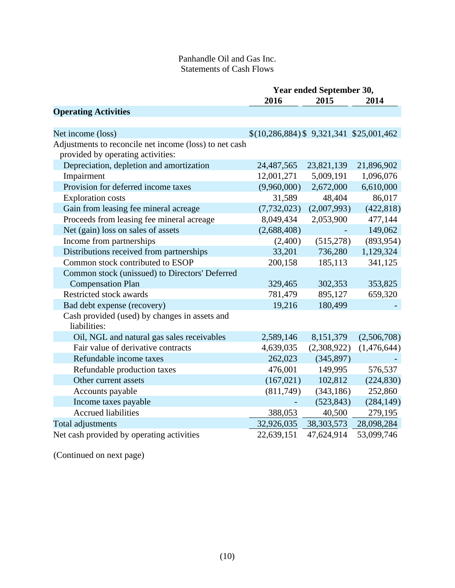# <span id="page-32-0"></span>Panhandle Oil and Gas Inc. Statements of Cash Flows

|                                                               | Year ended September 30,                  |              |             |  |
|---------------------------------------------------------------|-------------------------------------------|--------------|-------------|--|
|                                                               | 2016                                      | 2015         | 2014        |  |
| <b>Operating Activities</b>                                   |                                           |              |             |  |
|                                                               |                                           |              |             |  |
| Net income (loss)                                             | $$(10,286,884)$ \$ 9,321,341 \$25,001,462 |              |             |  |
| Adjustments to reconcile net income (loss) to net cash        |                                           |              |             |  |
| provided by operating activities:                             |                                           |              |             |  |
| Depreciation, depletion and amortization                      | 24,487,565                                | 23,821,139   | 21,896,902  |  |
| Impairment                                                    | 12,001,271                                | 5,009,191    | 1,096,076   |  |
| Provision for deferred income taxes                           | (9,960,000)                               | 2,672,000    | 6,610,000   |  |
| <b>Exploration costs</b>                                      | 31,589                                    | 48,404       | 86,017      |  |
| Gain from leasing fee mineral acreage                         | (7, 732, 023)                             | (2,007,993)  | (422, 818)  |  |
| Proceeds from leasing fee mineral acreage                     | 8,049,434                                 | 2,053,900    | 477,144     |  |
| Net (gain) loss on sales of assets                            | (2,688,408)                               |              | 149,062     |  |
| Income from partnerships                                      | (2,400)                                   | (515, 278)   | (893, 954)  |  |
| Distributions received from partnerships                      | 33,201                                    | 736,280      | 1,129,324   |  |
| Common stock contributed to ESOP                              | 200,158                                   | 185,113      | 341,125     |  |
| Common stock (unissued) to Directors' Deferred                |                                           |              |             |  |
| <b>Compensation Plan</b>                                      | 329,465                                   | 302,353      | 353,825     |  |
| Restricted stock awards                                       | 781,479                                   | 895,127      | 659,320     |  |
| Bad debt expense (recovery)                                   | 19,216                                    | 180,499      |             |  |
| Cash provided (used) by changes in assets and<br>liabilities: |                                           |              |             |  |
| Oil, NGL and natural gas sales receivables                    | 2,589,146                                 | 8,151,379    | (2,506,708) |  |
| Fair value of derivative contracts                            | 4,639,035                                 | (2,308,922)  | (1,476,644) |  |
| Refundable income taxes                                       | 262,023                                   | (345, 897)   |             |  |
| Refundable production taxes                                   | 476,001                                   | 149,995      | 576,537     |  |
| Other current assets                                          | (167, 021)                                | 102,812      | (224, 830)  |  |
| Accounts payable                                              | (811,749)                                 | (343, 186)   | 252,860     |  |
| Income taxes payable                                          |                                           | (523, 843)   | (284, 149)  |  |
| <b>Accrued liabilities</b>                                    | 388,053                                   | 40,500       | 279,195     |  |
| Total adjustments                                             | 32,926,035                                | 38, 303, 573 | 28,098,284  |  |
| Net cash provided by operating activities                     | 22,639,151                                | 47,624,914   | 53,099,746  |  |

(Continued on next page)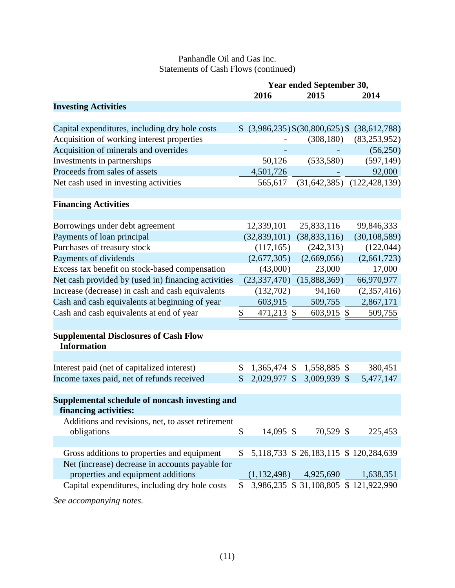# Panhandle Oil and Gas Inc. Statements of Cash Flows (continued)

|                                                                    |               |                | Year ended September 30, |                                                  |
|--------------------------------------------------------------------|---------------|----------------|--------------------------|--------------------------------------------------|
|                                                                    |               | 2016           | 2015                     | 2014                                             |
| <b>Investing Activities</b>                                        |               |                |                          |                                                  |
|                                                                    |               |                |                          |                                                  |
| Capital expenditures, including dry hole costs                     |               |                |                          | $$$ (3,986,235) $$(30,800,625)$ $$$ (38,612,788) |
| Acquisition of working interest properties                         |               |                | (308, 180)               | (83, 253, 952)                                   |
| Acquisition of minerals and overrides                              |               |                |                          | (56,250)                                         |
| Investments in partnerships                                        |               | 50,126         | (533,580)                | (597, 149)                                       |
| Proceeds from sales of assets                                      |               | 4,501,726      |                          | 92,000                                           |
| Net cash used in investing activities                              |               | 565,617        |                          | $(31, 642, 385)$ $(122, 428, 139)$               |
| <b>Financing Activities</b>                                        |               |                |                          |                                                  |
|                                                                    |               |                |                          |                                                  |
| Borrowings under debt agreement                                    |               | 12,339,101     | 25,833,116               | 99,846,333                                       |
| Payments of loan principal                                         |               | (32, 839, 101) | (38, 833, 116)           | (30, 108, 589)                                   |
| Purchases of treasury stock                                        |               | (117, 165)     | (242, 313)               | (122, 044)                                       |
| Payments of dividends                                              |               | (2,677,305)    | (2,669,056)              | (2,661,723)                                      |
| Excess tax benefit on stock-based compensation                     |               | (43,000)       | 23,000                   | 17,000                                           |
| Net cash provided by (used in) financing activities                |               | (23, 337, 470) | (15,888,369)             | 66,970,977                                       |
| Increase (decrease) in cash and cash equivalents                   |               | (132,702)      | 94,160                   | (2,357,416)                                      |
| Cash and cash equivalents at beginning of year                     |               | 603,915        | 509,755                  | 2,867,171                                        |
| Cash and cash equivalents at end of year                           | \$            | 471,213 \$     | 603,915 \$               | 509,755                                          |
|                                                                    |               |                |                          |                                                  |
| <b>Supplemental Disclosures of Cash Flow</b><br><b>Information</b> |               |                |                          |                                                  |
|                                                                    |               |                |                          |                                                  |
| Interest paid (net of capitalized interest)                        | \$            | 1,365,474 \$   | 1,558,885 \$             | 380,451                                          |
| Income taxes paid, net of refunds received                         | $\mathcal{S}$ | 2,029,977 \$   | 3,009,939 \$             | 5,477,147                                        |
|                                                                    |               |                |                          |                                                  |
| Supplemental schedule of noncash investing and                     |               |                |                          |                                                  |
| financing activities:                                              |               |                |                          |                                                  |
| Additions and revisions, net, to asset retirement<br>obligations   | \$            | $14,095$ \$    | 70,529 \$                | 225,453                                          |
|                                                                    |               |                |                          |                                                  |
| Gross additions to properties and equipment                        | \$            |                |                          | 5, 118, 733 \$ 26, 183, 115 \$ 120, 284, 639     |
| Net (increase) decrease in accounts payable for                    |               |                |                          |                                                  |
| properties and equipment additions                                 |               | (1,132,498)    | 4,925,690                | 1,638,351                                        |
| Capital expenditures, including dry hole costs                     | $\mathbb{S}$  |                |                          | 3,986,235 \$ 31,108,805 \$ 121,922,990           |
| See accompanying notes.                                            |               |                |                          |                                                  |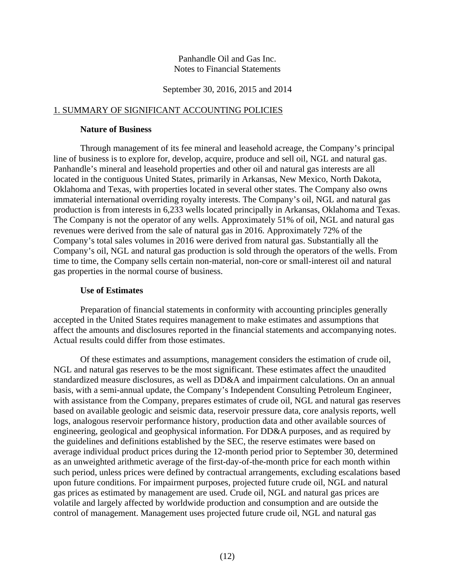<span id="page-34-0"></span>September 30, 2016, 2015 and 2014

#### 1. SUMMARY OF SIGNIFICANT ACCOUNTING POLICIES

#### **Nature of Business**

Through management of its fee mineral and leasehold acreage, the Company's principal line of business is to explore for, develop, acquire, produce and sell oil, NGL and natural gas. Panhandle's mineral and leasehold properties and other oil and natural gas interests are all located in the contiguous United States, primarily in Arkansas, New Mexico, North Dakota, Oklahoma and Texas, with properties located in several other states. The Company also owns immaterial international overriding royalty interests. The Company's oil, NGL and natural gas production is from interests in 6,233 wells located principally in Arkansas, Oklahoma and Texas. The Company is not the operator of any wells. Approximately 51% of oil, NGL and natural gas revenues were derived from the sale of natural gas in 2016. Approximately 72% of the Company's total sales volumes in 2016 were derived from natural gas. Substantially all the Company's oil, NGL and natural gas production is sold through the operators of the wells. From time to time, the Company sells certain non-material, non-core or small-interest oil and natural gas properties in the normal course of business.

#### **Use of Estimates**

Preparation of financial statements in conformity with accounting principles generally accepted in the United States requires management to make estimates and assumptions that affect the amounts and disclosures reported in the financial statements and accompanying notes. Actual results could differ from those estimates.

Of these estimates and assumptions, management considers the estimation of crude oil, NGL and natural gas reserves to be the most significant. These estimates affect the unaudited standardized measure disclosures, as well as DD&A and impairment calculations. On an annual basis, with a semi-annual update, the Company's Independent Consulting Petroleum Engineer, with assistance from the Company, prepares estimates of crude oil, NGL and natural gas reserves based on available geologic and seismic data, reservoir pressure data, core analysis reports, well logs, analogous reservoir performance history, production data and other available sources of engineering, geological and geophysical information. For DD&A purposes, and as required by the guidelines and definitions established by the SEC, the reserve estimates were based on average individual product prices during the 12-month period prior to September 30, determined as an unweighted arithmetic average of the first-day-of-the-month price for each month within such period, unless prices were defined by contractual arrangements, excluding escalations based upon future conditions. For impairment purposes, projected future crude oil, NGL and natural gas prices as estimated by management are used. Crude oil, NGL and natural gas prices are volatile and largely affected by worldwide production and consumption and are outside the control of management. Management uses projected future crude oil, NGL and natural gas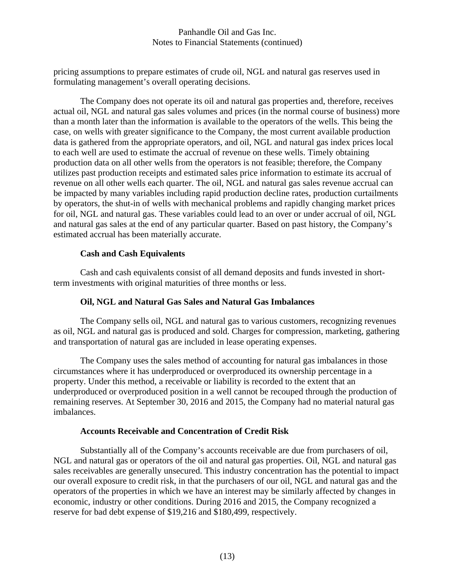pricing assumptions to prepare estimates of crude oil, NGL and natural gas reserves used in formulating management's overall operating decisions.

The Company does not operate its oil and natural gas properties and, therefore, receives actual oil, NGL and natural gas sales volumes and prices (in the normal course of business) more than a month later than the information is available to the operators of the wells. This being the case, on wells with greater significance to the Company, the most current available production data is gathered from the appropriate operators, and oil, NGL and natural gas index prices local to each well are used to estimate the accrual of revenue on these wells. Timely obtaining production data on all other wells from the operators is not feasible; therefore, the Company utilizes past production receipts and estimated sales price information to estimate its accrual of revenue on all other wells each quarter. The oil, NGL and natural gas sales revenue accrual can be impacted by many variables including rapid production decline rates, production curtailments by operators, the shut-in of wells with mechanical problems and rapidly changing market prices for oil, NGL and natural gas. These variables could lead to an over or under accrual of oil, NGL and natural gas sales at the end of any particular quarter. Based on past history, the Company's estimated accrual has been materially accurate.

#### **Cash and Cash Equivalents**

Cash and cash equivalents consist of all demand deposits and funds invested in shortterm investments with original maturities of three months or less.

# **Oil, NGL and Natural Gas Sales and Natural Gas Imbalances**

The Company sells oil, NGL and natural gas to various customers, recognizing revenues as oil, NGL and natural gas is produced and sold. Charges for compression, marketing, gathering and transportation of natural gas are included in lease operating expenses.

The Company uses the sales method of accounting for natural gas imbalances in those circumstances where it has underproduced or overproduced its ownership percentage in a property. Under this method, a receivable or liability is recorded to the extent that an underproduced or overproduced position in a well cannot be recouped through the production of remaining reserves. At September 30, 2016 and 2015, the Company had no material natural gas imbalances.

#### **Accounts Receivable and Concentration of Credit Risk**

Substantially all of the Company's accounts receivable are due from purchasers of oil, NGL and natural gas or operators of the oil and natural gas properties. Oil, NGL and natural gas sales receivables are generally unsecured. This industry concentration has the potential to impact our overall exposure to credit risk, in that the purchasers of our oil, NGL and natural gas and the operators of the properties in which we have an interest may be similarly affected by changes in economic, industry or other conditions. During 2016 and 2015, the Company recognized a reserve for bad debt expense of \$19,216 and \$180,499, respectively.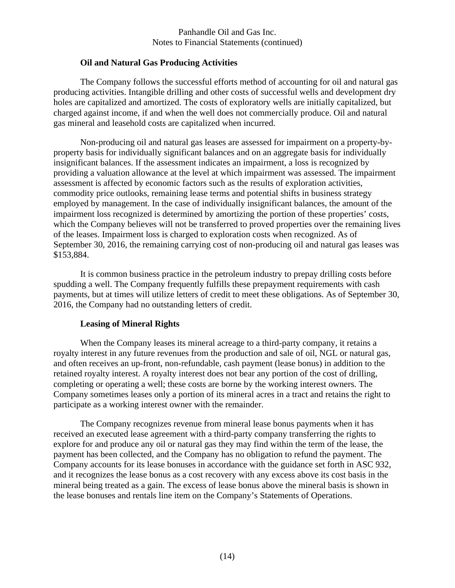# **Oil and Natural Gas Producing Activities**

The Company follows the successful efforts method of accounting for oil and natural gas producing activities. Intangible drilling and other costs of successful wells and development dry holes are capitalized and amortized. The costs of exploratory wells are initially capitalized, but charged against income, if and when the well does not commercially produce. Oil and natural gas mineral and leasehold costs are capitalized when incurred.

Non-producing oil and natural gas leases are assessed for impairment on a property-byproperty basis for individually significant balances and on an aggregate basis for individually insignificant balances. If the assessment indicates an impairment, a loss is recognized by providing a valuation allowance at the level at which impairment was assessed. The impairment assessment is affected by economic factors such as the results of exploration activities, commodity price outlooks, remaining lease terms and potential shifts in business strategy employed by management. In the case of individually insignificant balances, the amount of the impairment loss recognized is determined by amortizing the portion of these properties' costs, which the Company believes will not be transferred to proved properties over the remaining lives of the leases. Impairment loss is charged to exploration costs when recognized. As of September 30, 2016, the remaining carrying cost of non-producing oil and natural gas leases was \$153,884.

It is common business practice in the petroleum industry to prepay drilling costs before spudding a well. The Company frequently fulfills these prepayment requirements with cash payments, but at times will utilize letters of credit to meet these obligations. As of September 30, 2016, the Company had no outstanding letters of credit.

#### **Leasing of Mineral Rights**

When the Company leases its mineral acreage to a third-party company, it retains a royalty interest in any future revenues from the production and sale of oil, NGL or natural gas, and often receives an up-front, non-refundable, cash payment (lease bonus) in addition to the retained royalty interest. A royalty interest does not bear any portion of the cost of drilling, completing or operating a well; these costs are borne by the working interest owners. The Company sometimes leases only a portion of its mineral acres in a tract and retains the right to participate as a working interest owner with the remainder.

The Company recognizes revenue from mineral lease bonus payments when it has received an executed lease agreement with a third-party company transferring the rights to explore for and produce any oil or natural gas they may find within the term of the lease, the payment has been collected, and the Company has no obligation to refund the payment. The Company accounts for its lease bonuses in accordance with the guidance set forth in ASC 932, and it recognizes the lease bonus as a cost recovery with any excess above its cost basis in the mineral being treated as a gain. The excess of lease bonus above the mineral basis is shown in the lease bonuses and rentals line item on the Company's Statements of Operations.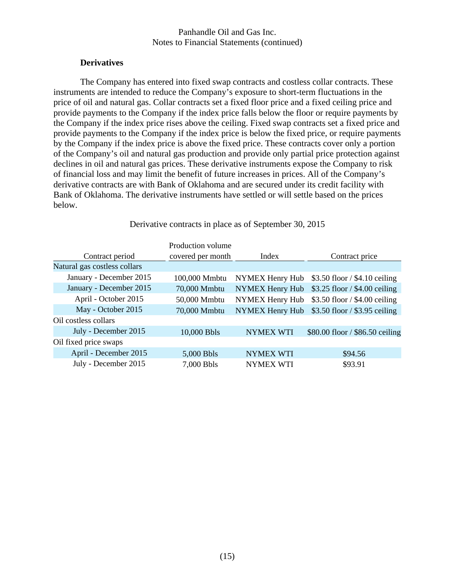# **Derivatives**

The Company has entered into fixed swap contracts and costless collar contracts. These instruments are intended to reduce the Company's exposure to short-term fluctuations in the price of oil and natural gas. Collar contracts set a fixed floor price and a fixed ceiling price and provide payments to the Company if the index price falls below the floor or require payments by the Company if the index price rises above the ceiling. Fixed swap contracts set a fixed price and provide payments to the Company if the index price is below the fixed price, or require payments by the Company if the index price is above the fixed price. These contracts cover only a portion of the Company's oil and natural gas production and provide only partial price protection against declines in oil and natural gas prices. These derivative instruments expose the Company to risk of financial loss and may limit the benefit of future increases in prices. All of the Company's derivative contracts are with Bank of Oklahoma and are secured under its credit facility with Bank of Oklahoma. The derivative instruments have settled or will settle based on the prices below.

|                              | Production volume |                        |                                 |
|------------------------------|-------------------|------------------------|---------------------------------|
| Contract period              | covered per month | Index                  | Contract price                  |
| Natural gas costless collars |                   |                        |                                 |
| January - December 2015      | 100,000 Mmbtu     | NYMEX Henry Hub        | $$3.50$ floor / $$4.10$ ceiling |
| January - December 2015      | 70,000 Mmbtu      | <b>NYMEX Henry Hub</b> | $$3.25$ floor / \$4.00 ceiling  |
| April - October 2015         | 50,000 Mmbtu      | NYMEX Henry Hub        | \$3.50 floor / \$4.00 ceiling   |
| May - October 2015           | 70,000 Mmbtu      | <b>NYMEX Henry Hub</b> | $$3.50$ floor / \$3.95 ceiling  |
| Oil costless collars         |                   |                        |                                 |
| July - December 2015         | 10,000 Bbls       | <b>NYMEX WTI</b>       | \$80.00 floor / \$86.50 ceiling |
| Oil fixed price swaps        |                   |                        |                                 |
| April - December 2015        | 5,000 Bbls        | <b>NYMEX WTI</b>       | \$94.56                         |
| July - December 2015         | 7,000 Bbls        | <b>NYMEX WTI</b>       | \$93.91                         |

Derivative contracts in place as of September 30, 2015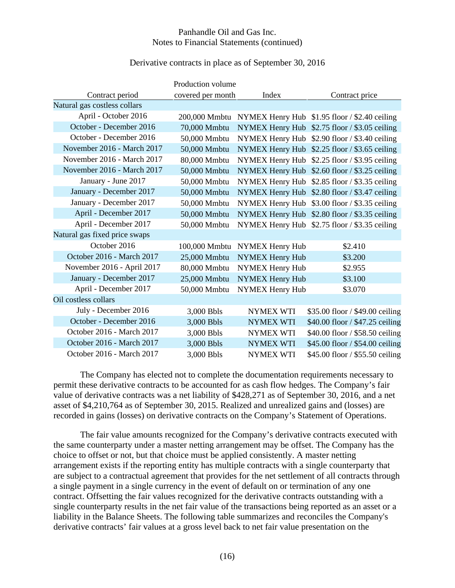#### Derivative contracts in place as of September 30, 2016

|                               | Production volume |                        |                                               |
|-------------------------------|-------------------|------------------------|-----------------------------------------------|
| Contract period               | covered per month | Index                  | Contract price                                |
| Natural gas costless collars  |                   |                        |                                               |
| April - October 2016          | 200,000 Mmbtu     |                        | NYMEX Henry Hub \$1.95 floor / \$2.40 ceiling |
| October - December 2016       | 70,000 Mmbtu      |                        | NYMEX Henry Hub \$2.75 floor / \$3.05 ceiling |
| October - December 2016       | 50,000 Mmbtu      |                        | NYMEX Henry Hub \$2.90 floor / \$3.40 ceiling |
| November 2016 - March 2017    | 50,000 Mmbtu      |                        | NYMEX Henry Hub \$2.25 floor / \$3.65 ceiling |
| November 2016 - March 2017    | 80,000 Mmbtu      |                        | NYMEX Henry Hub \$2.25 floor / \$3.95 ceiling |
| November 2016 - March 2017    | 50,000 Mmbtu      |                        | NYMEX Henry Hub \$2.60 floor / \$3.25 ceiling |
| January - June 2017           | 50,000 Mmbtu      |                        | NYMEX Henry Hub \$2.85 floor / \$3.35 ceiling |
| January - December 2017       | 50,000 Mmbtu      |                        | NYMEX Henry Hub \$2.80 floor / \$3.47 ceiling |
| January - December 2017       | 50,000 Mmbtu      |                        | NYMEX Henry Hub \$3.00 floor / \$3.35 ceiling |
| April - December 2017         | 50,000 Mmbtu      |                        | NYMEX Henry Hub \$2.80 floor / \$3.35 ceiling |
| April - December 2017         | 50,000 Mmbtu      |                        | NYMEX Henry Hub \$2.75 floor / \$3.35 ceiling |
| Natural gas fixed price swaps |                   |                        |                                               |
| October 2016                  | 100,000 Mmbtu     | <b>NYMEX Henry Hub</b> | \$2.410                                       |
| October 2016 - March 2017     | 25,000 Mmbtu      | <b>NYMEX Henry Hub</b> | \$3.200                                       |
| November 2016 - April 2017    | 80,000 Mmbtu      | <b>NYMEX Henry Hub</b> | \$2.955                                       |
| January - December 2017       | 25,000 Mmbtu      | <b>NYMEX Henry Hub</b> | \$3.100                                       |
| April - December 2017         | 50,000 Mmbtu      | NYMEX Henry Hub        | \$3.070                                       |
| Oil costless collars          |                   |                        |                                               |
| July - December 2016          | 3,000 Bbls        | <b>NYMEX WTI</b>       | \$35.00 floor / \$49.00 ceiling               |
| October - December 2016       | 3,000 Bbls        | <b>NYMEX WTI</b>       | \$40.00 floor / \$47.25 ceiling               |
| October 2016 - March 2017     | 3,000 Bbls        | <b>NYMEX WTI</b>       | \$40.00 floor / \$58.50 ceiling               |
| October 2016 - March 2017     | 3,000 Bbls        | <b>NYMEX WTI</b>       | \$45.00 floor / \$54.00 ceiling               |
| October 2016 - March 2017     | 3,000 Bbls        | <b>NYMEX WTI</b>       | \$45.00 floor / \$55.50 ceiling               |

The Company has elected not to complete the documentation requirements necessary to permit these derivative contracts to be accounted for as cash flow hedges. The Company's fair value of derivative contracts was a net liability of \$428,271 as of September 30, 2016, and a net asset of \$4,210,764 as of September 30, 2015. Realized and unrealized gains and (losses) are recorded in gains (losses) on derivative contracts on the Company's Statement of Operations.

The fair value amounts recognized for the Company's derivative contracts executed with the same counterparty under a master netting arrangement may be offset. The Company has the choice to offset or not, but that choice must be applied consistently. A master netting arrangement exists if the reporting entity has multiple contracts with a single counterparty that are subject to a contractual agreement that provides for the net settlement of all contracts through a single payment in a single currency in the event of default on or termination of any one contract. Offsetting the fair values recognized for the derivative contracts outstanding with a single counterparty results in the net fair value of the transactions being reported as an asset or a liability in the Balance Sheets. The following table summarizes and reconciles the Company's derivative contracts' fair values at a gross level back to net fair value presentation on the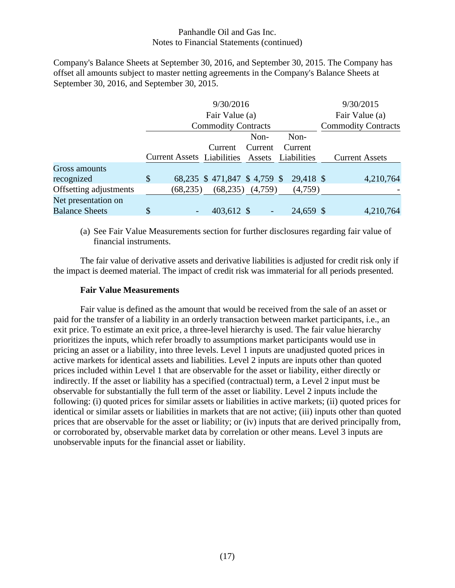Company's Balance Sheets at September 30, 2016, and September 30, 2015. The Company has offset all amounts subject to master netting agreements in the Company's Balance Sheets at September 30, 2016, and September 30, 2015.

|                        |                                               | 9/30/2015                            |                          |           |                            |
|------------------------|-----------------------------------------------|--------------------------------------|--------------------------|-----------|----------------------------|
|                        |                                               | Fair Value (a)                       |                          |           |                            |
|                        |                                               | <b>Commodity Contracts</b>           |                          |           | <b>Commodity Contracts</b> |
|                        |                                               |                                      | Non-                     | Non-      |                            |
|                        |                                               | Current                              | Current                  | Current   |                            |
|                        | Current Assets Liabilities Assets Liabilities |                                      |                          |           | <b>Current Assets</b>      |
| Gross amounts          |                                               |                                      |                          |           |                            |
| recognized             | \$                                            | 68,235 \$471,847 \$4,759 \$29,418 \$ |                          |           | 4,210,764                  |
| Offsetting adjustments | (68, 235)                                     |                                      | $(68,235)$ $(4,759)$     | (4,759)   |                            |
| Net presentation on    |                                               |                                      |                          |           |                            |
| <b>Balance Sheets</b>  | \$                                            | 403,612 \$                           | $\overline{\phantom{a}}$ | 24,659 \$ | 4,210,764                  |

(a) See Fair Value Measurements section for further disclosures regarding fair value of financial instruments.

The fair value of derivative assets and derivative liabilities is adjusted for credit risk only if the impact is deemed material. The impact of credit risk was immaterial for all periods presented.

#### **Fair Value Measurements**

Fair value is defined as the amount that would be received from the sale of an asset or paid for the transfer of a liability in an orderly transaction between market participants, i.e., an exit price. To estimate an exit price, a three-level hierarchy is used. The fair value hierarchy prioritizes the inputs, which refer broadly to assumptions market participants would use in pricing an asset or a liability, into three levels. Level 1 inputs are unadjusted quoted prices in active markets for identical assets and liabilities. Level 2 inputs are inputs other than quoted prices included within Level 1 that are observable for the asset or liability, either directly or indirectly. If the asset or liability has a specified (contractual) term, a Level 2 input must be observable for substantially the full term of the asset or liability. Level 2 inputs include the following: (i) quoted prices for similar assets or liabilities in active markets; (ii) quoted prices for identical or similar assets or liabilities in markets that are not active; (iii) inputs other than quoted prices that are observable for the asset or liability; or (iv) inputs that are derived principally from, or corroborated by, observable market data by correlation or other means. Level 3 inputs are unobservable inputs for the financial asset or liability.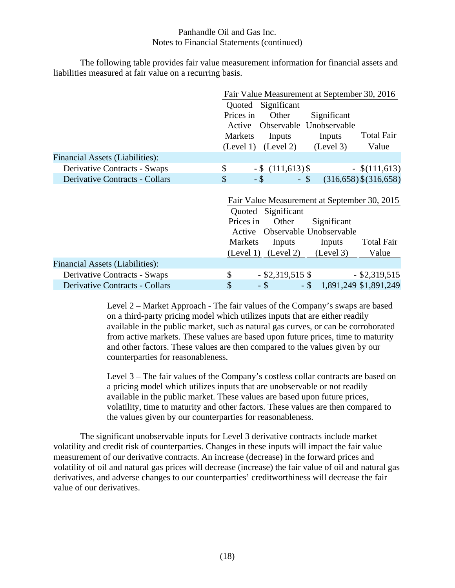The following table provides fair value measurement information for financial assets and liabilities measured at fair value on a recurring basis.

|                                       | Fair Value Measurement at September 30, 2016 |                         |                                              |                            |
|---------------------------------------|----------------------------------------------|-------------------------|----------------------------------------------|----------------------------|
|                                       | Quoted                                       | Significant             |                                              |                            |
|                                       | Prices in                                    | Other                   | Significant                                  |                            |
|                                       | Active                                       |                         | Observable Unobservable                      |                            |
|                                       | <b>Markets</b>                               | Inputs                  | Inputs                                       | <b>Total Fair</b>          |
|                                       |                                              | $(Level 1)$ $(Level 2)$ | (Level 3)                                    | Value                      |
| Financial Assets (Liabilities):       |                                              |                         |                                              |                            |
| <b>Derivative Contracts - Swaps</b>   | \$                                           | $-$ \$ $(111,613)$ \$   |                                              | $-$ \$(111,613)            |
| <b>Derivative Contracts - Collars</b> | \$                                           | $-$ \$                  | $-$ \$                                       | $(316,658)$ \$ $(316,658)$ |
|                                       |                                              |                         |                                              |                            |
|                                       |                                              |                         | Fair Value Measurement at September 30, 2015 |                            |
|                                       |                                              | Quoted Significant      |                                              |                            |
|                                       | Prices in                                    | Other                   | Significant                                  |                            |
|                                       |                                              |                         | Active Observable Unobservable               |                            |
|                                       | <b>Markets</b>                               | Inputs                  | Inputs                                       | <b>Total Fair</b>          |
|                                       |                                              | $(Level 1)$ $(Level 2)$ | (Level 3)                                    | Value                      |
| Financial Assets (Liabilities):       |                                              |                         |                                              |                            |
| Derivative Contracts - Swaps          | \$                                           | $-$ \$2,319,515 \$      |                                              | $-$ \$2,319,515            |
| <b>Derivative Contracts - Collars</b> | \$                                           | $-$ \$                  | $-$ \$ 1,891,249 \$1,891,249                 |                            |

Level 2 – Market Approach - The fair values of the Company's swaps are based on a third-party pricing model which utilizes inputs that are either readily available in the public market, such as natural gas curves, or can be corroborated from active markets. These values are based upon future prices, time to maturity and other factors. These values are then compared to the values given by our counterparties for reasonableness.

Level 3 – The fair values of the Company's costless collar contracts are based on a pricing model which utilizes inputs that are unobservable or not readily available in the public market. These values are based upon future prices, volatility, time to maturity and other factors. These values are then compared to the values given by our counterparties for reasonableness.

The significant unobservable inputs for Level 3 derivative contracts include market volatility and credit risk of counterparties. Changes in these inputs will impact the fair value measurement of our derivative contracts. An increase (decrease) in the forward prices and volatility of oil and natural gas prices will decrease (increase) the fair value of oil and natural gas derivatives, and adverse changes to our counterparties' creditworthiness will decrease the fair value of our derivatives.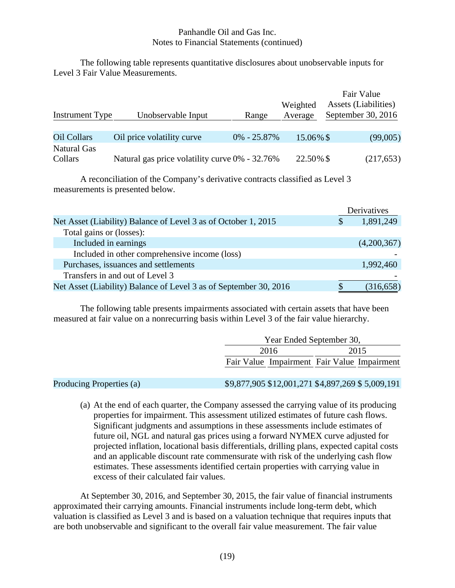The following table represents quantitative disclosures about unobservable inputs for Level 3 Fair Value Measurements.

|                 |                                                |                 |           | Fair Value           |
|-----------------|------------------------------------------------|-----------------|-----------|----------------------|
|                 |                                                |                 | Weighted  | Assets (Liabilities) |
| Instrument Type | Unobservable Input                             | Range           | Average   | September 30, 2016   |
|                 |                                                |                 |           |                      |
| Oil Collars     | Oil price volatility curve                     | $0\% - 25.87\%$ | 15.06% \$ | (99,005)             |
| Natural Gas     |                                                |                 |           |                      |
| Collars         | Natural gas price volatility curve 0% - 32.76% |                 | 22.50% \$ | (217, 653)           |

A reconciliation of the Company's derivative contracts classified as Level 3 measurements is presented below.

|                                                                   | Derivatives |
|-------------------------------------------------------------------|-------------|
| Net Asset (Liability) Balance of Level 3 as of October 1, 2015    | 1,891,249   |
| Total gains or (losses):                                          |             |
| Included in earnings                                              | (4,200,367) |
| Included in other comprehensive income (loss)                     |             |
| Purchases, issuances and settlements                              | 1,992,460   |
| Transfers in and out of Level 3                                   |             |
| Net Asset (Liability) Balance of Level 3 as of September 30, 2016 | (316, 658)  |

The following table presents impairments associated with certain assets that have been measured at fair value on a nonrecurring basis within Level 3 of the fair value hierarchy.

| Year Ended September 30,                    |  |      |  |  |
|---------------------------------------------|--|------|--|--|
| 2016                                        |  | 2015 |  |  |
| Fair Value Impairment Fair Value Impairment |  |      |  |  |

Producing Properties (a)  $$9,877,905 $12,001,271 $4,897,269 $5,009,191$ 

(a) At the end of each quarter, the Company assessed the carrying value of its producing properties for impairment. This assessment utilized estimates of future cash flows. Significant judgments and assumptions in these assessments include estimates of future oil, NGL and natural gas prices using a forward NYMEX curve adjusted for projected inflation, locational basis differentials, drilling plans, expected capital costs and an applicable discount rate commensurate with risk of the underlying cash flow estimates. These assessments identified certain properties with carrying value in excess of their calculated fair values.

At September 30, 2016, and September 30, 2015, the fair value of financial instruments approximated their carrying amounts. Financial instruments include long-term debt, which valuation is classified as Level 3 and is based on a valuation technique that requires inputs that are both unobservable and significant to the overall fair value measurement. The fair value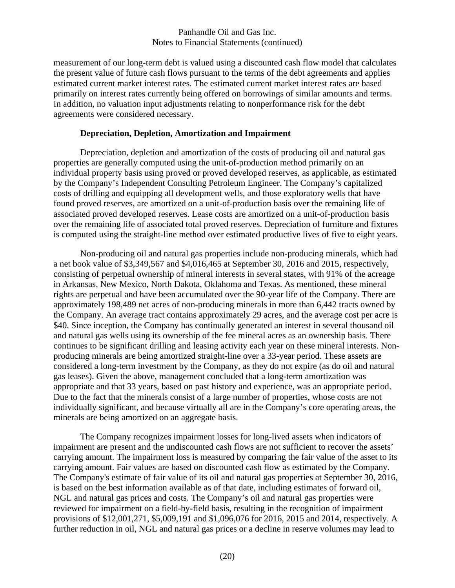measurement of our long-term debt is valued using a discounted cash flow model that calculates the present value of future cash flows pursuant to the terms of the debt agreements and applies estimated current market interest rates. The estimated current market interest rates are based primarily on interest rates currently being offered on borrowings of similar amounts and terms. In addition, no valuation input adjustments relating to nonperformance risk for the debt agreements were considered necessary.

#### **Depreciation, Depletion, Amortization and Impairment**

Depreciation, depletion and amortization of the costs of producing oil and natural gas properties are generally computed using the unit-of-production method primarily on an individual property basis using proved or proved developed reserves, as applicable, as estimated by the Company's Independent Consulting Petroleum Engineer. The Company's capitalized costs of drilling and equipping all development wells, and those exploratory wells that have found proved reserves, are amortized on a unit-of-production basis over the remaining life of associated proved developed reserves. Lease costs are amortized on a unit-of-production basis over the remaining life of associated total proved reserves. Depreciation of furniture and fixtures is computed using the straight-line method over estimated productive lives of five to eight years.

Non-producing oil and natural gas properties include non-producing minerals, which had a net book value of \$3,349,567 and \$4,016,465 at September 30, 2016 and 2015, respectively, consisting of perpetual ownership of mineral interests in several states, with 91% of the acreage in Arkansas, New Mexico, North Dakota, Oklahoma and Texas. As mentioned, these mineral rights are perpetual and have been accumulated over the 90-year life of the Company. There are approximately 198,489 net acres of non-producing minerals in more than 6,442 tracts owned by the Company. An average tract contains approximately 29 acres, and the average cost per acre is \$40. Since inception, the Company has continually generated an interest in several thousand oil and natural gas wells using its ownership of the fee mineral acres as an ownership basis. There continues to be significant drilling and leasing activity each year on these mineral interests. Nonproducing minerals are being amortized straight-line over a 33-year period. These assets are considered a long-term investment by the Company, as they do not expire (as do oil and natural gas leases). Given the above, management concluded that a long-term amortization was appropriate and that 33 years, based on past history and experience, was an appropriate period. Due to the fact that the minerals consist of a large number of properties, whose costs are not individually significant, and because virtually all are in the Company's core operating areas, the minerals are being amortized on an aggregate basis.

The Company recognizes impairment losses for long-lived assets when indicators of impairment are present and the undiscounted cash flows are not sufficient to recover the assets' carrying amount. The impairment loss is measured by comparing the fair value of the asset to its carrying amount. Fair values are based on discounted cash flow as estimated by the Company. The Company's estimate of fair value of its oil and natural gas properties at September 30, 2016, is based on the best information available as of that date, including estimates of forward oil, NGL and natural gas prices and costs. The Company's oil and natural gas properties were reviewed for impairment on a field-by-field basis, resulting in the recognition of impairment provisions of \$12,001,271, \$5,009,191 and \$1,096,076 for 2016, 2015 and 2014, respectively. A further reduction in oil, NGL and natural gas prices or a decline in reserve volumes may lead to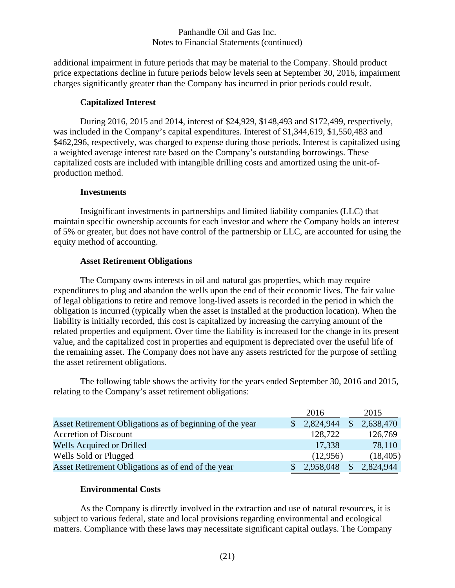additional impairment in future periods that may be material to the Company. Should product price expectations decline in future periods below levels seen at September 30, 2016, impairment charges significantly greater than the Company has incurred in prior periods could result.

# **Capitalized Interest**

During 2016, 2015 and 2014, interest of \$24,929, \$148,493 and \$172,499, respectively, was included in the Company's capital expenditures. Interest of \$1,344,619, \$1,550,483 and \$462,296, respectively, was charged to expense during those periods. Interest is capitalized using a weighted average interest rate based on the Company's outstanding borrowings. These capitalized costs are included with intangible drilling costs and amortized using the unit-ofproduction method.

#### **Investments**

Insignificant investments in partnerships and limited liability companies (LLC) that maintain specific ownership accounts for each investor and where the Company holds an interest of 5% or greater, but does not have control of the partnership or LLC, are accounted for using the equity method of accounting.

# **Asset Retirement Obligations**

The Company owns interests in oil and natural gas properties, which may require expenditures to plug and abandon the wells upon the end of their economic lives. The fair value of legal obligations to retire and remove long-lived assets is recorded in the period in which the obligation is incurred (typically when the asset is installed at the production location). When the liability is initially recorded, this cost is capitalized by increasing the carrying amount of the related properties and equipment. Over time the liability is increased for the change in its present value, and the capitalized cost in properties and equipment is depreciated over the useful life of the remaining asset. The Company does not have any assets restricted for the purpose of settling the asset retirement obligations.

The following table shows the activity for the years ended September 30, 2016 and 2015, relating to the Company's asset retirement obligations:

|                                                          | 2016      |              | 2015      |
|----------------------------------------------------------|-----------|--------------|-----------|
| Asset Retirement Obligations as of beginning of the year | 2,824,944 | $\mathbb{S}$ | 2,638,470 |
| <b>Accretion of Discount</b>                             | 128,722   |              | 126,769   |
| <b>Wells Acquired or Drilled</b>                         | 17,338    |              | 78,110    |
| Wells Sold or Plugged                                    | (12,956)  |              | (18, 405) |
| Asset Retirement Obligations as of end of the year       | 2,958,048 |              | 2,824,944 |

# **Environmental Costs**

As the Company is directly involved in the extraction and use of natural resources, it is subject to various federal, state and local provisions regarding environmental and ecological matters. Compliance with these laws may necessitate significant capital outlays. The Company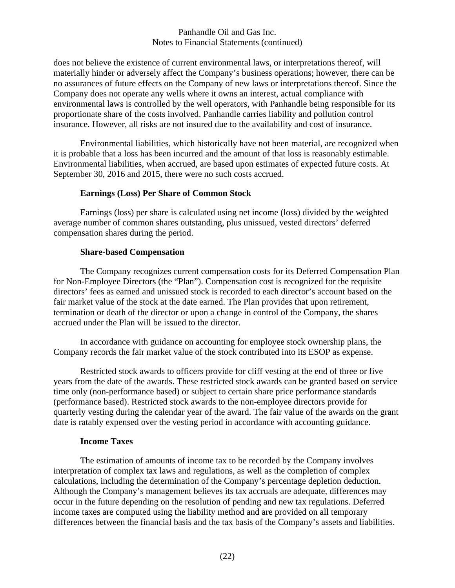does not believe the existence of current environmental laws, or interpretations thereof, will materially hinder or adversely affect the Company's business operations; however, there can be no assurances of future effects on the Company of new laws or interpretations thereof. Since the Company does not operate any wells where it owns an interest, actual compliance with environmental laws is controlled by the well operators, with Panhandle being responsible for its proportionate share of the costs involved. Panhandle carries liability and pollution control insurance. However, all risks are not insured due to the availability and cost of insurance.

Environmental liabilities, which historically have not been material, are recognized when it is probable that a loss has been incurred and the amount of that loss is reasonably estimable. Environmental liabilities, when accrued, are based upon estimates of expected future costs. At September 30, 2016 and 2015, there were no such costs accrued.

# **Earnings (Loss) Per Share of Common Stock**

Earnings (loss) per share is calculated using net income (loss) divided by the weighted average number of common shares outstanding, plus unissued, vested directors' deferred compensation shares during the period.

# **Share-based Compensation**

The Company recognizes current compensation costs for its Deferred Compensation Plan for Non-Employee Directors (the "Plan"). Compensation cost is recognized for the requisite directors' fees as earned and unissued stock is recorded to each director's account based on the fair market value of the stock at the date earned. The Plan provides that upon retirement, termination or death of the director or upon a change in control of the Company, the shares accrued under the Plan will be issued to the director.

In accordance with guidance on accounting for employee stock ownership plans, the Company records the fair market value of the stock contributed into its ESOP as expense.

Restricted stock awards to officers provide for cliff vesting at the end of three or five years from the date of the awards. These restricted stock awards can be granted based on service time only (non-performance based) or subject to certain share price performance standards (performance based). Restricted stock awards to the non-employee directors provide for quarterly vesting during the calendar year of the award. The fair value of the awards on the grant date is ratably expensed over the vesting period in accordance with accounting guidance.

# **Income Taxes**

The estimation of amounts of income tax to be recorded by the Company involves interpretation of complex tax laws and regulations, as well as the completion of complex calculations, including the determination of the Company's percentage depletion deduction. Although the Company's management believes its tax accruals are adequate, differences may occur in the future depending on the resolution of pending and new tax regulations. Deferred income taxes are computed using the liability method and are provided on all temporary differences between the financial basis and the tax basis of the Company's assets and liabilities.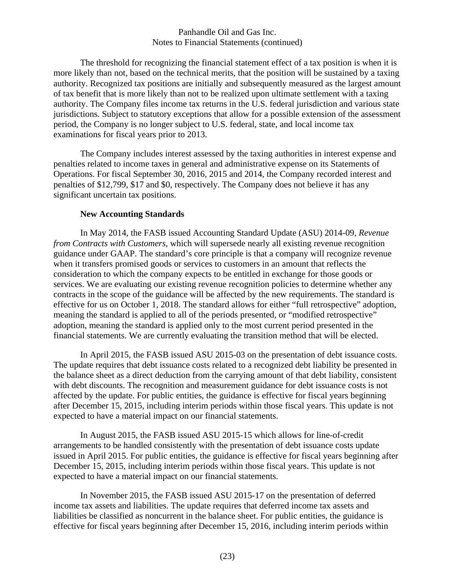The threshold for recognizing the financial statement effect of a tax position is when it is more likely than not, based on the technical merits, that the position will be sustained by a taxing authority. Recognized tax positions are initially and subsequently measured as the largest amount of tax benefit that is more likely than not to be realized upon ultimate settlement with a taxing authority. The Company files income tax returns in the U.S. federal jurisdiction and various state jurisdictions. Subject to statutory exceptions that allow for a possible extension of the assessment period, the Company is no longer subject to U.S. federal, state, and local income tax examinations for fiscal years prior to 2013.

The Company includes interest assessed by the taxing authorities in interest expense and penalties related to income taxes in general and administrative expense on its Statements of Operations. For fiscal September 30, 2016, 2015 and 2014, the Company recorded interest and penalties of \$12,799, \$17 and \$0, respectively. The Company does not believe it has any significant uncertain tax positions.

#### **New Accounting Standards**

In May 2014, the FASB issued Accounting Standard Update (ASU) 2014-09, *Revenue from Contracts with Customers*, which will supersede nearly all existing revenue recognition guidance under GAAP. The standard's core principle is that a company will recognize revenue when it transfers promised goods or services to customers in an amount that reflects the consideration to which the company expects to be entitled in exchange for those goods or services. We are evaluating our existing revenue recognition policies to determine whether any contracts in the scope of the guidance will be affected by the new requirements. The standard is effective for us on October 1, 2018. The standard allows for either "full retrospective" adoption, meaning the standard is applied to all of the periods presented, or "modified retrospective" adoption, meaning the standard is applied only to the most current period presented in the financial statements. We are currently evaluating the transition method that will be elected.

In April 2015, the FASB issued ASU 2015-03 on the presentation of debt issuance costs. The update requires that debt issuance costs related to a recognized debt liability be presented in the balance sheet as a direct deduction from the carrying amount of that debt liability, consistent with debt discounts. The recognition and measurement guidance for debt issuance costs is not affected by the update. For public entities, the guidance is effective for fiscal years beginning after December 15, 2015, including interim periods within those fiscal years. This update is not expected to have a material impact on our financial statements.

In August 2015, the FASB issued ASU 2015-15 which allows for line-of-credit arrangements to be handled consistently with the presentation of debt issuance costs update issued in April 2015. For public entities, the guidance is effective for fiscal years beginning after December 15, 2015, including interim periods within those fiscal years. This update is not expected to have a material impact on our financial statements.

In November 2015, the FASB issued ASU 2015-17 on the presentation of deferred income tax assets and liabilities. The update requires that deferred income tax assets and liabilities be classified as noncurrent in the balance sheet. For public entities, the guidance is effective for fiscal years beginning after December 15, 2016, including interim periods within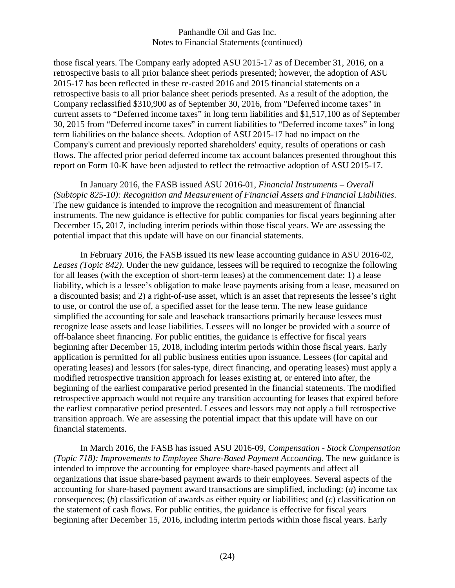those fiscal years. The Company early adopted ASU 2015-17 as of December 31, 2016, on a retrospective basis to all prior balance sheet periods presented; however, the adoption of ASU 2015-17 has been reflected in these re-casted 2016 and 2015 financial statements on a retrospective basis to all prior balance sheet periods presented. As a result of the adoption, the Company reclassified \$310,900 as of September 30, 2016, from "Deferred income taxes" in current assets to "Deferred income taxes" in long term liabilities and \$1,517,100 as of September 30, 2015 from "Deferred income taxes" in current liabilities to "Deferred income taxes" in long term liabilities on the balance sheets. Adoption of ASU 2015-17 had no impact on the Company's current and previously reported shareholders' equity, results of operations or cash flows. The affected prior period deferred income tax account balances presented throughout this report on Form 10-K have been adjusted to reflect the retroactive adoption of ASU 2015-17.

In January 2016, the FASB issued ASU 2016-01, *Financial Instruments – Overall (Subtopic 825-10): Recognition and Measurement of Financial Assets and Financial Liabilities*. The new guidance is intended to improve the recognition and measurement of financial instruments. The new guidance is effective for public companies for fiscal years beginning after December 15, 2017, including interim periods within those fiscal years. We are assessing the potential impact that this update will have on our financial statements.

In February 2016, the FASB issued its new lease accounting guidance in ASU 2016-02, *Leases (Topic 842)*. Under the new guidance, lessees will be required to recognize the following for all leases (with the exception of short-term leases) at the commencement date: 1) a lease liability, which is a lessee's obligation to make lease payments arising from a lease, measured on a discounted basis; and 2) a right-of-use asset, which is an asset that represents the lessee's right to use, or control the use of, a specified asset for the lease term. The new lease guidance simplified the accounting for sale and leaseback transactions primarily because lessees must recognize lease assets and lease liabilities. Lessees will no longer be provided with a source of off-balance sheet financing. For public entities, the guidance is effective for fiscal years beginning after December 15, 2018, including interim periods within those fiscal years. Early application is permitted for all public business entities upon issuance. Lessees (for capital and operating leases) and lessors (for sales-type, direct financing, and operating leases) must apply a modified retrospective transition approach for leases existing at, or entered into after, the beginning of the earliest comparative period presented in the financial statements. The modified retrospective approach would not require any transition accounting for leases that expired before the earliest comparative period presented. Lessees and lessors may not apply a full retrospective transition approach. We are assessing the potential impact that this update will have on our financial statements.

In March 2016, the FASB has issued ASU 2016-09, *Compensation - Stock Compensation (Topic 718): Improvements to Employee Share-Based Payment Accounting*. The new guidance is intended to improve the accounting for employee share-based payments and affect all organizations that issue share-based payment awards to their employees. Several aspects of the accounting for share-based payment award transactions are simplified, including: (*a*) income tax consequences; (*b*) classification of awards as either equity or liabilities; and (*c*) classification on the statement of cash flows. For public entities, the guidance is effective for fiscal years beginning after December 15, 2016, including interim periods within those fiscal years. Early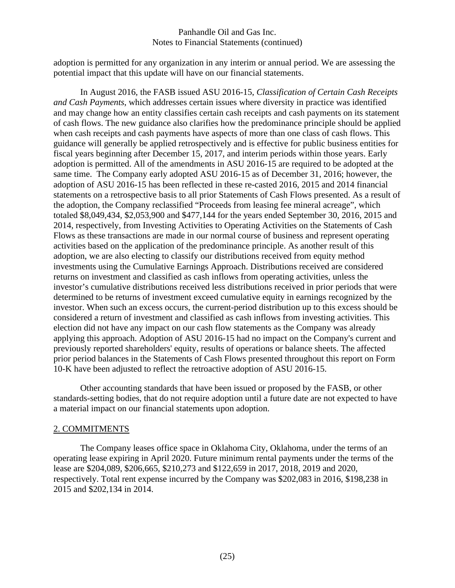adoption is permitted for any organization in any interim or annual period. We are assessing the potential impact that this update will have on our financial statements.

In August 2016, the FASB issued ASU 2016-15, *Classification of Certain Cash Receipts and Cash Payments*, which addresses certain issues where diversity in practice was identified and may change how an entity classifies certain cash receipts and cash payments on its statement of cash flows. The new guidance also clarifies how the predominance principle should be applied when cash receipts and cash payments have aspects of more than one class of cash flows. This guidance will generally be applied retrospectively and is effective for public business entities for fiscal years beginning after December 15, 2017, and interim periods within those years. Early adoption is permitted. All of the amendments in ASU 2016-15 are required to be adopted at the same time. The Company early adopted ASU 2016-15 as of December 31, 2016; however, the adoption of ASU 2016-15 has been reflected in these re-casted 2016, 2015 and 2014 financial statements on a retrospective basis to all prior Statements of Cash Flows presented. As a result of the adoption, the Company reclassified "Proceeds from leasing fee mineral acreage", which totaled \$8,049,434, \$2,053,900 and \$477,144 for the years ended September 30, 2016, 2015 and 2014, respectively, from Investing Activities to Operating Activities on the Statements of Cash Flows as these transactions are made in our normal course of business and represent operating activities based on the application of the predominance principle. As another result of this adoption, we are also electing to classify our distributions received from equity method investments using the Cumulative Earnings Approach. Distributions received are considered returns on investment and classified as cash inflows from operating activities, unless the investor's cumulative distributions received less distributions received in prior periods that were determined to be returns of investment exceed cumulative equity in earnings recognized by the investor. When such an excess occurs, the current-period distribution up to this excess should be considered a return of investment and classified as cash inflows from investing activities. This election did not have any impact on our cash flow statements as the Company was already applying this approach. Adoption of ASU 2016-15 had no impact on the Company's current and previously reported shareholders' equity, results of operations or balance sheets. The affected prior period balances in the Statements of Cash Flows presented throughout this report on Form 10-K have been adjusted to reflect the retroactive adoption of ASU 2016-15.

Other accounting standards that have been issued or proposed by the FASB, or other standards-setting bodies, that do not require adoption until a future date are not expected to have a material impact on our financial statements upon adoption.

#### 2. COMMITMENTS

The Company leases office space in Oklahoma City, Oklahoma, under the terms of an operating lease expiring in April 2020. Future minimum rental payments under the terms of the lease are \$204,089, \$206,665, \$210,273 and \$122,659 in 2017, 2018, 2019 and 2020, respectively. Total rent expense incurred by the Company was \$202,083 in 2016, \$198,238 in 2015 and \$202,134 in 2014.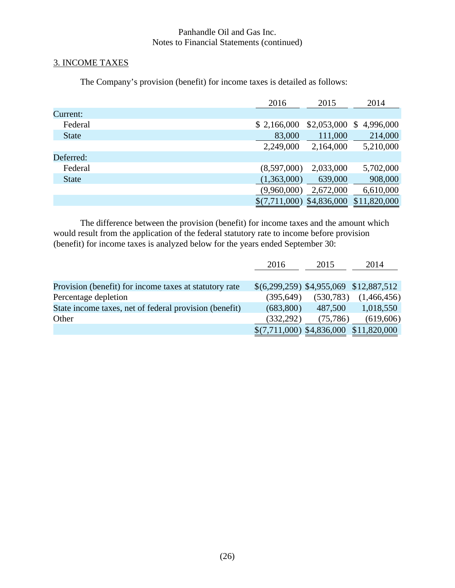# 3. INCOME TAXES

The Company's provision (benefit) for income taxes is detailed as follows:

|              | 2016                       | 2015        | 2014                      |
|--------------|----------------------------|-------------|---------------------------|
| Current:     |                            |             |                           |
| Federal      | \$2,166,000                | \$2,053,000 | 4,996,000<br><sup>S</sup> |
| <b>State</b> | 83,000                     | 111,000     | 214,000                   |
|              | 2,249,000                  | 2,164,000   | 5,210,000                 |
| Deferred:    |                            |             |                           |
| Federal      | (8,597,000)                | 2,033,000   | 5,702,000                 |
| <b>State</b> | (1,363,000)                | 639,000     | 908,000                   |
|              | (9,960,000)                | 2,672,000   | 6,610,000                 |
|              | $$(7,711,000)$ \$4,836,000 |             | \$11,820,000              |

The difference between the provision (benefit) for income taxes and the amount which would result from the application of the federal statutory rate to income before provision (benefit) for income taxes is analyzed below for the years ended September 30:

|                                                        | 2016                                   | 2015       | 2014         |
|--------------------------------------------------------|----------------------------------------|------------|--------------|
|                                                        |                                        |            |              |
| Provision (benefit) for income taxes at statutory rate | \$(6,299,259) \$4,955,069 \$12,887,512 |            |              |
| Percentage depletion                                   | (395, 649)                             | (530, 783) | (1,466,456)  |
| State income taxes, net of federal provision (benefit) | (683,800)                              | 487,500    | 1,018,550    |
| Other                                                  | (332, 292)                             | (75, 786)  | (619, 606)   |
|                                                        | $$(7,711,000)$ \$4,836,000             |            | \$11,820,000 |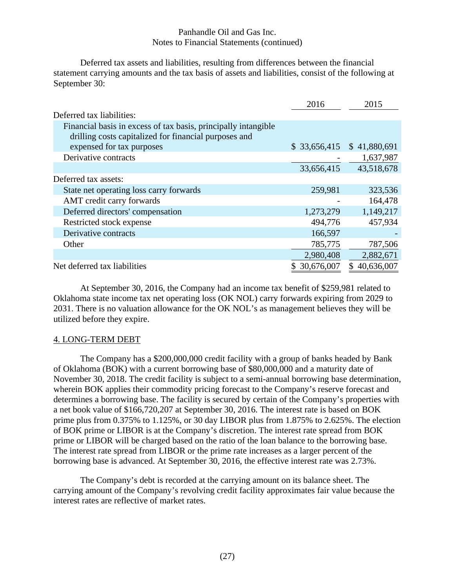Deferred tax assets and liabilities, resulting from differences between the financial statement carrying amounts and the tax basis of assets and liabilities, consist of the following at September 30:

|                                                                | 2016                        | 2015         |
|----------------------------------------------------------------|-----------------------------|--------------|
| Deferred tax liabilities:                                      |                             |              |
| Financial basis in excess of tax basis, principally intangible |                             |              |
| drilling costs capitalized for financial purposes and          |                             |              |
| expensed for tax purposes                                      | $$33,656,415$ $$41,880,691$ |              |
| Derivative contracts                                           |                             | 1,637,987    |
|                                                                | 33,656,415                  | 43,518,678   |
| Deferred tax assets:                                           |                             |              |
| State net operating loss carry forwards                        | 259,981                     | 323,536      |
| AMT credit carry forwards                                      |                             | 164,478      |
| Deferred directors' compensation                               | 1,273,279                   | 1,149,217    |
| Restricted stock expense                                       | 494,776                     | 457,934      |
| Derivative contracts                                           | 166,597                     |              |
| Other                                                          | 785,775                     | 787,506      |
|                                                                | 2,980,408                   | 2,882,671    |
| Net deferred tax liabilities                                   | 30,676,007                  | \$40,636,007 |

At September 30, 2016, the Company had an income tax benefit of \$259,981 related to Oklahoma state income tax net operating loss (OK NOL) carry forwards expiring from 2029 to 2031. There is no valuation allowance for the OK NOL's as management believes they will be utilized before they expire.

#### 4. LONG-TERM DEBT

The Company has a \$200,000,000 credit facility with a group of banks headed by Bank of Oklahoma (BOK) with a current borrowing base of \$80,000,000 and a maturity date of November 30, 2018. The credit facility is subject to a semi-annual borrowing base determination, wherein BOK applies their commodity pricing forecast to the Company's reserve forecast and determines a borrowing base. The facility is secured by certain of the Company's properties with a net book value of \$166,720,207 at September 30, 2016. The interest rate is based on BOK prime plus from 0.375% to 1.125%, or 30 day LIBOR plus from 1.875% to 2.625%. The election of BOK prime or LIBOR is at the Company's discretion. The interest rate spread from BOK prime or LIBOR will be charged based on the ratio of the loan balance to the borrowing base. The interest rate spread from LIBOR or the prime rate increases as a larger percent of the borrowing base is advanced. At September 30, 2016, the effective interest rate was 2.73%.

The Company's debt is recorded at the carrying amount on its balance sheet. The carrying amount of the Company's revolving credit facility approximates fair value because the interest rates are reflective of market rates.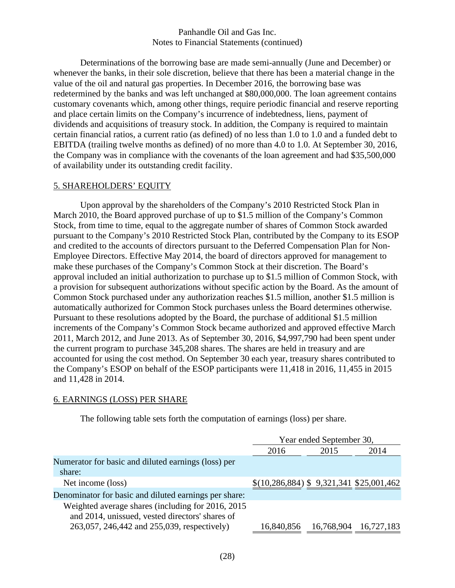Determinations of the borrowing base are made semi-annually (June and December) or whenever the banks, in their sole discretion, believe that there has been a material change in the value of the oil and natural gas properties. In December 2016, the borrowing base was redetermined by the banks and was left unchanged at \$80,000,000. The loan agreement contains customary covenants which, among other things, require periodic financial and reserve reporting and place certain limits on the Company's incurrence of indebtedness, liens, payment of dividends and acquisitions of treasury stock. In addition, the Company is required to maintain certain financial ratios, a current ratio (as defined) of no less than 1.0 to 1.0 and a funded debt to EBITDA (trailing twelve months as defined) of no more than 4.0 to 1.0. At September 30, 2016, the Company was in compliance with the covenants of the loan agreement and had \$35,500,000 of availability under its outstanding credit facility.

# 5. SHAREHOLDERS' EQUITY

Upon approval by the shareholders of the Company's 2010 Restricted Stock Plan in March 2010, the Board approved purchase of up to \$1.5 million of the Company's Common Stock, from time to time, equal to the aggregate number of shares of Common Stock awarded pursuant to the Company's 2010 Restricted Stock Plan, contributed by the Company to its ESOP and credited to the accounts of directors pursuant to the Deferred Compensation Plan for Non-Employee Directors. Effective May 2014, the board of directors approved for management to make these purchases of the Company's Common Stock at their discretion. The Board's approval included an initial authorization to purchase up to \$1.5 million of Common Stock, with a provision for subsequent authorizations without specific action by the Board. As the amount of Common Stock purchased under any authorization reaches \$1.5 million, another \$1.5 million is automatically authorized for Common Stock purchases unless the Board determines otherwise. Pursuant to these resolutions adopted by the Board, the purchase of additional \$1.5 million increments of the Company's Common Stock became authorized and approved effective March 2011, March 2012, and June 2013. As of September 30, 2016, \$4,997,790 had been spent under the current program to purchase 345,208 shares. The shares are held in treasury and are accounted for using the cost method. On September 30 each year, treasury shares contributed to the Company's ESOP on behalf of the ESOP participants were 11,418 in 2016, 11,455 in 2015 and 11,428 in 2014.

#### 6. EARNINGS (LOSS) PER SHARE

|                                                                                                       | Year ended September 30,                  |            |            |  |
|-------------------------------------------------------------------------------------------------------|-------------------------------------------|------------|------------|--|
|                                                                                                       | 2016                                      |            | 2014       |  |
| Numerator for basic and diluted earnings (loss) per                                                   |                                           |            |            |  |
| share:                                                                                                |                                           |            |            |  |
| Net income (loss)                                                                                     | $$(10,286,884)$ \$ 9,321,341 \$25,001,462 |            |            |  |
| Denominator for basic and diluted earnings per share:                                                 |                                           |            |            |  |
| Weighted average shares (including for 2016, 2015)<br>and 2014, unissued, vested directors' shares of |                                           |            |            |  |
| 263,057, 246,442 and 255,039, respectively)                                                           | 16,840,856                                | 16,768,904 | 16,727,183 |  |

The following table sets forth the computation of earnings (loss) per share.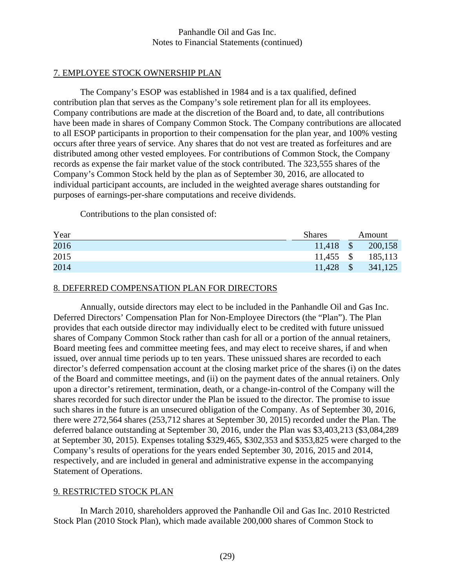# 7. EMPLOYEE STOCK OWNERSHIP PLAN

The Company's ESOP was established in 1984 and is a tax qualified, defined contribution plan that serves as the Company's sole retirement plan for all its employees. Company contributions are made at the discretion of the Board and, to date, all contributions have been made in shares of Company Common Stock. The Company contributions are allocated to all ESOP participants in proportion to their compensation for the plan year, and 100% vesting occurs after three years of service. Any shares that do not vest are treated as forfeitures and are distributed among other vested employees. For contributions of Common Stock, the Company records as expense the fair market value of the stock contributed. The 323,555 shares of the Company's Common Stock held by the plan as of September 30, 2016, are allocated to individual participant accounts, are included in the weighted average shares outstanding for purposes of earnings-per-share computations and receive dividends.

Contributions to the plan consisted of:

| Year | <b>Shares</b> | Amount  |
|------|---------------|---------|
| 2016 | $11,418$ \$   | 200,158 |
| 2015 | $11,455$ \$   | 185,113 |
| 2014 | $11,428$ \$   | 341,125 |

#### 8. DEFERRED COMPENSATION PLAN FOR DIRECTORS

Annually, outside directors may elect to be included in the Panhandle Oil and Gas Inc. Deferred Directors' Compensation Plan for Non-Employee Directors (the "Plan"). The Plan provides that each outside director may individually elect to be credited with future unissued shares of Company Common Stock rather than cash for all or a portion of the annual retainers, Board meeting fees and committee meeting fees, and may elect to receive shares, if and when issued, over annual time periods up to ten years. These unissued shares are recorded to each director's deferred compensation account at the closing market price of the shares (i) on the dates of the Board and committee meetings, and (ii) on the payment dates of the annual retainers. Only upon a director's retirement, termination, death, or a change-in-control of the Company will the shares recorded for such director under the Plan be issued to the director. The promise to issue such shares in the future is an unsecured obligation of the Company. As of September 30, 2016, there were 272,564 shares (253,712 shares at September 30, 2015) recorded under the Plan. The deferred balance outstanding at September 30, 2016, under the Plan was \$3,403,213 (\$3,084,289 at September 30, 2015). Expenses totaling \$329,465, \$302,353 and \$353,825 were charged to the Company's results of operations for the years ended September 30, 2016, 2015 and 2014, respectively, and are included in general and administrative expense in the accompanying Statement of Operations.

# 9. RESTRICTED STOCK PLAN

In March 2010, shareholders approved the Panhandle Oil and Gas Inc. 2010 Restricted Stock Plan (2010 Stock Plan), which made available 200,000 shares of Common Stock to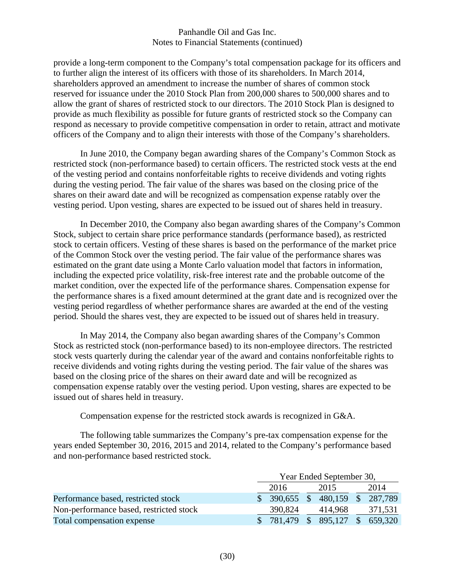provide a long-term component to the Company's total compensation package for its officers and to further align the interest of its officers with those of its shareholders. In March 2014, shareholders approved an amendment to increase the number of shares of common stock reserved for issuance under the 2010 Stock Plan from 200,000 shares to 500,000 shares and to allow the grant of shares of restricted stock to our directors. The 2010 Stock Plan is designed to provide as much flexibility as possible for future grants of restricted stock so the Company can respond as necessary to provide competitive compensation in order to retain, attract and motivate officers of the Company and to align their interests with those of the Company's shareholders.

In June 2010, the Company began awarding shares of the Company's Common Stock as restricted stock (non-performance based) to certain officers. The restricted stock vests at the end of the vesting period and contains nonforfeitable rights to receive dividends and voting rights during the vesting period. The fair value of the shares was based on the closing price of the shares on their award date and will be recognized as compensation expense ratably over the vesting period. Upon vesting, shares are expected to be issued out of shares held in treasury.

In December 2010, the Company also began awarding shares of the Company's Common Stock, subject to certain share price performance standards (performance based), as restricted stock to certain officers. Vesting of these shares is based on the performance of the market price of the Common Stock over the vesting period. The fair value of the performance shares was estimated on the grant date using a Monte Carlo valuation model that factors in information, including the expected price volatility, risk-free interest rate and the probable outcome of the market condition, over the expected life of the performance shares. Compensation expense for the performance shares is a fixed amount determined at the grant date and is recognized over the vesting period regardless of whether performance shares are awarded at the end of the vesting period. Should the shares vest, they are expected to be issued out of shares held in treasury.

In May 2014, the Company also began awarding shares of the Company's Common Stock as restricted stock (non-performance based) to its non-employee directors. The restricted stock vests quarterly during the calendar year of the award and contains nonforfeitable rights to receive dividends and voting rights during the vesting period. The fair value of the shares was based on the closing price of the shares on their award date and will be recognized as compensation expense ratably over the vesting period. Upon vesting, shares are expected to be issued out of shares held in treasury.

Compensation expense for the restricted stock awards is recognized in G&A.

The following table summarizes the Company's pre-tax compensation expense for the years ended September 30, 2016, 2015 and 2014, related to the Company's performance based and non-performance based restricted stock.

|                                         | Year Ended September 30, |         |               |                    |      |           |
|-----------------------------------------|--------------------------|---------|---------------|--------------------|------|-----------|
|                                         | 2016<br>2015             |         |               |                    | 2014 |           |
| Performance based, restricted stock     |                          | 390.655 | $\mathcal{S}$ | 480,159 \$ 287,789 |      |           |
| Non-performance based, restricted stock |                          | 390,824 |               | 414.968            |      | 371,531   |
| Total compensation expense              | $\mathcal{S}$            | 781.479 | <sup>S</sup>  | 895,127            |      | \$659,320 |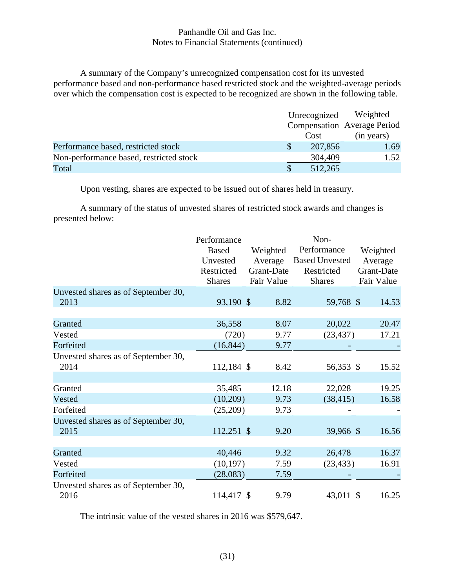A summary of the Company's unrecognized compensation cost for its unvested performance based and non-performance based restricted stock and the weighted-average periods over which the compensation cost is expected to be recognized are shown in the following table.

|                                         |                           | Unrecognized | Weighted                    |
|-----------------------------------------|---------------------------|--------------|-----------------------------|
|                                         |                           |              | Compensation Average Period |
|                                         |                           | Cost         | (in years)                  |
| Performance based, restricted stock     | S                         | 207,856      | 1.69                        |
| Non-performance based, restricted stock |                           | 304,409      | 1.52                        |
| Total                                   | $\boldsymbol{\mathsf{S}}$ | 512,265      |                             |

Upon vesting, shares are expected to be issued out of shares held in treasury.

A summary of the status of unvested shares of restricted stock awards and changes is presented below:

|                                     | Performance   |                         | Non-                  |            |
|-------------------------------------|---------------|-------------------------|-----------------------|------------|
|                                     | <b>Based</b>  | Performance<br>Weighted |                       | Weighted   |
|                                     | Unvested      | Average                 | <b>Based Unvested</b> | Average    |
|                                     | Restricted    | Grant-Date              | Restricted            | Grant-Date |
|                                     | <b>Shares</b> | Fair Value              | <b>Shares</b>         | Fair Value |
| Unvested shares as of September 30, |               |                         |                       |            |
| 2013                                | 93,190 \$     | 8.82                    | 59,768 \$             | 14.53      |
|                                     |               |                         |                       |            |
| Granted                             | 36,558        | 8.07                    | 20,022                | 20.47      |
| Vested                              | (720)         | 9.77                    | (23, 437)             | 17.21      |
| Forfeited                           | (16, 844)     | 9.77                    |                       |            |
| Unvested shares as of September 30, |               |                         |                       |            |
| 2014                                | 112,184 \$    | 8.42                    | 56,353 \$             | 15.52      |
|                                     |               |                         |                       |            |
| Granted                             | 35,485        | 12.18                   | 22,028                | 19.25      |
| Vested                              | (10,209)      | 9.73                    | (38, 415)             | 16.58      |
| Forfeited                           | (25,209)      | 9.73                    |                       |            |
| Unvested shares as of September 30, |               |                         |                       |            |
| 2015                                | 112,251 \$    | 9.20                    | 39,966 \$             | 16.56      |
|                                     |               |                         |                       |            |
| Granted                             | 40,446        | 9.32                    | 26,478                | 16.37      |
| Vested                              | (10, 197)     | 7.59                    | (23, 433)             | 16.91      |
| Forfeited                           | (28,083)      | 7.59                    |                       |            |
| Unvested shares as of September 30, |               |                         |                       |            |
| 2016                                | 114,417 \$    | 9.79                    | 43,011 \$             | 16.25      |

The intrinsic value of the vested shares in 2016 was \$579,647.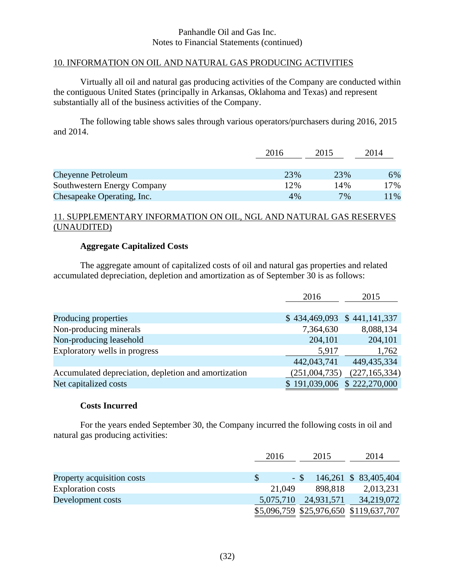#### 10. INFORMATION ON OIL AND NATURAL GAS PRODUCING ACTIVITIES

Virtually all oil and natural gas producing activities of the Company are conducted within the contiguous United States (principally in Arkansas, Oklahoma and Texas) and represent substantially all of the business activities of the Company.

The following table shows sales through various operators/purchasers during 2016, 2015 and 2014.

|                             | 2016 | 2015  | 2014 |
|-----------------------------|------|-------|------|
| <b>Cheyenne Petroleum</b>   | 23%  | 23%   | 6%   |
| Southwestern Energy Company | 12%  | 14%   | 17%  |
| Chesapeake Operating, Inc.  | 4%   | $7\%$ | 11%  |

# 11. SUPPLEMENTARY INFORMATION ON OIL, NGL AND NATURAL GAS RESERVES (UNAUDITED)

#### **Aggregate Capitalized Costs**

The aggregate amount of capitalized costs of oil and natural gas properties and related accumulated depreciation, depletion and amortization as of September 30 is as follows:

|               | 2015                          |
|---------------|-------------------------------|
|               |                               |
|               | $$434,469,093$ $$441,141,337$ |
| 7,364,630     | 8,088,134                     |
| 204,101       | 204,101                       |
| 5,917         | 1,762                         |
| 442,043,741   | 449, 435, 334                 |
| (251,004,735) | (227, 165, 334)               |
| \$191,039,006 | \$222,270,000                 |
|               | 2016                          |

#### **Costs Incurred**

For the years ended September 30, the Company incurred the following costs in oil and natural gas producing activities:

|                            | 2016   | 2015                 | 2014                                   |
|----------------------------|--------|----------------------|----------------------------------------|
|                            |        |                      |                                        |
| Property acquisition costs |        | $-$ S                | 146,261 \$ 83,405,404                  |
| <b>Exploration costs</b>   | 21.049 | 898.818              | 2,013,231                              |
| Development costs          |        | 5,075,710 24,931,571 | 34,219,072                             |
|                            |        |                      | \$5,096,759 \$25,976,650 \$119,637,707 |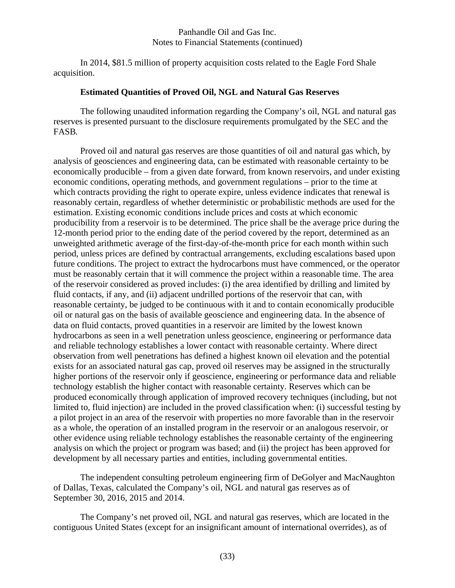In 2014, \$81.5 million of property acquisition costs related to the Eagle Ford Shale acquisition.

#### **Estimated Quantities of Proved Oil, NGL and Natural Gas Reserves**

The following unaudited information regarding the Company's oil, NGL and natural gas reserves is presented pursuant to the disclosure requirements promulgated by the SEC and the FASB*.*

Proved oil and natural gas reserves are those quantities of oil and natural gas which, by analysis of geosciences and engineering data, can be estimated with reasonable certainty to be economically producible – from a given date forward, from known reservoirs, and under existing economic conditions, operating methods, and government regulations – prior to the time at which contracts providing the right to operate expire, unless evidence indicates that renewal is reasonably certain, regardless of whether deterministic or probabilistic methods are used for the estimation. Existing economic conditions include prices and costs at which economic producibility from a reservoir is to be determined. The price shall be the average price during the 12-month period prior to the ending date of the period covered by the report, determined as an unweighted arithmetic average of the first-day-of-the-month price for each month within such period, unless prices are defined by contractual arrangements, excluding escalations based upon future conditions. The project to extract the hydrocarbons must have commenced, or the operator must be reasonably certain that it will commence the project within a reasonable time. The area of the reservoir considered as proved includes: (i) the area identified by drilling and limited by fluid contacts, if any, and (ii) adjacent undrilled portions of the reservoir that can, with reasonable certainty, be judged to be continuous with it and to contain economically producible oil or natural gas on the basis of available geoscience and engineering data. In the absence of data on fluid contacts, proved quantities in a reservoir are limited by the lowest known hydrocarbons as seen in a well penetration unless geoscience, engineering or performance data and reliable technology establishes a lower contact with reasonable certainty. Where direct observation from well penetrations has defined a highest known oil elevation and the potential exists for an associated natural gas cap, proved oil reserves may be assigned in the structurally higher portions of the reservoir only if geoscience, engineering or performance data and reliable technology establish the higher contact with reasonable certainty. Reserves which can be produced economically through application of improved recovery techniques (including, but not limited to, fluid injection) are included in the proved classification when: (i) successful testing by a pilot project in an area of the reservoir with properties no more favorable than in the reservoir as a whole, the operation of an installed program in the reservoir or an analogous reservoir, or other evidence using reliable technology establishes the reasonable certainty of the engineering analysis on which the project or program was based; and (ii) the project has been approved for development by all necessary parties and entities, including governmental entities.

The independent consulting petroleum engineering firm of DeGolyer and MacNaughton of Dallas, Texas, calculated the Company's oil, NGL and natural gas reserves as of September 30, 2016, 2015 and 2014.

The Company's net proved oil, NGL and natural gas reserves, which are located in the contiguous United States (except for an insignificant amount of international overrides), as of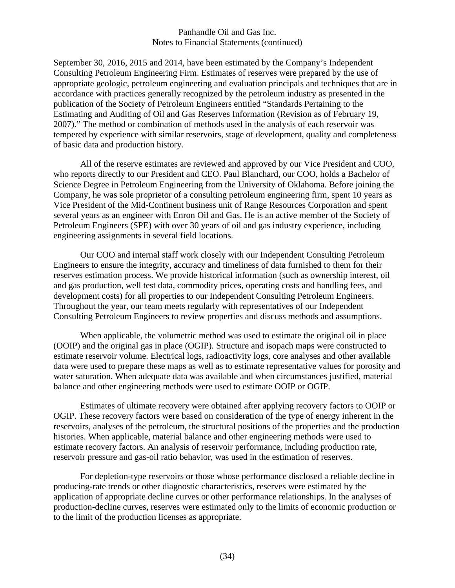September 30, 2016, 2015 and 2014, have been estimated by the Company's Independent Consulting Petroleum Engineering Firm. Estimates of reserves were prepared by the use of appropriate geologic, petroleum engineering and evaluation principals and techniques that are in accordance with practices generally recognized by the petroleum industry as presented in the publication of the Society of Petroleum Engineers entitled "Standards Pertaining to the Estimating and Auditing of Oil and Gas Reserves Information (Revision as of February 19, 2007)." The method or combination of methods used in the analysis of each reservoir was tempered by experience with similar reservoirs, stage of development, quality and completeness of basic data and production history.

All of the reserve estimates are reviewed and approved by our Vice President and COO, who reports directly to our President and CEO. Paul Blanchard, our COO, holds a Bachelor of Science Degree in Petroleum Engineering from the University of Oklahoma. Before joining the Company, he was sole proprietor of a consulting petroleum engineering firm, spent 10 years as Vice President of the Mid-Continent business unit of Range Resources Corporation and spent several years as an engineer with Enron Oil and Gas. He is an active member of the Society of Petroleum Engineers (SPE) with over 30 years of oil and gas industry experience, including engineering assignments in several field locations.

Our COO and internal staff work closely with our Independent Consulting Petroleum Engineers to ensure the integrity, accuracy and timeliness of data furnished to them for their reserves estimation process. We provide historical information (such as ownership interest, oil and gas production, well test data, commodity prices, operating costs and handling fees, and development costs) for all properties to our Independent Consulting Petroleum Engineers. Throughout the year, our team meets regularly with representatives of our Independent Consulting Petroleum Engineers to review properties and discuss methods and assumptions.

When applicable, the volumetric method was used to estimate the original oil in place (OOIP) and the original gas in place (OGIP). Structure and isopach maps were constructed to estimate reservoir volume. Electrical logs, radioactivity logs, core analyses and other available data were used to prepare these maps as well as to estimate representative values for porosity and water saturation. When adequate data was available and when circumstances justified, material balance and other engineering methods were used to estimate OOIP or OGIP.

Estimates of ultimate recovery were obtained after applying recovery factors to OOIP or OGIP. These recovery factors were based on consideration of the type of energy inherent in the reservoirs, analyses of the petroleum, the structural positions of the properties and the production histories. When applicable, material balance and other engineering methods were used to estimate recovery factors. An analysis of reservoir performance, including production rate, reservoir pressure and gas-oil ratio behavior, was used in the estimation of reserves.

For depletion-type reservoirs or those whose performance disclosed a reliable decline in producing-rate trends or other diagnostic characteristics, reserves were estimated by the application of appropriate decline curves or other performance relationships. In the analyses of production-decline curves, reserves were estimated only to the limits of economic production or to the limit of the production licenses as appropriate.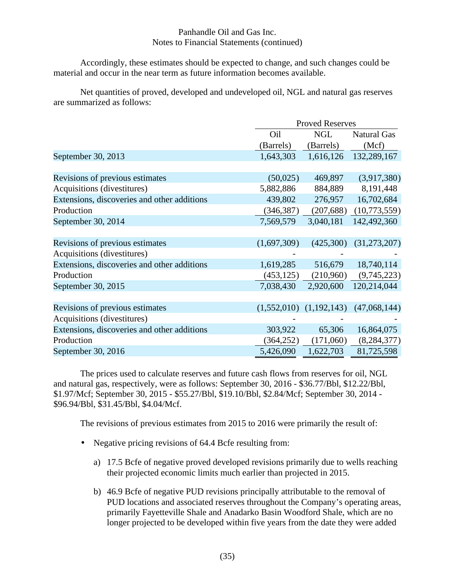Accordingly, these estimates should be expected to change, and such changes could be material and occur in the near term as future information becomes available.

Net quantities of proved, developed and undeveloped oil, NGL and natural gas reserves are summarized as follows:

|                                             | <b>Proved Reserves</b> |                             |                    |  |
|---------------------------------------------|------------------------|-----------------------------|--------------------|--|
|                                             | Oil                    | <b>NGL</b>                  | <b>Natural Gas</b> |  |
|                                             | (Barrels)              | (Barrels)                   | (Mcf)              |  |
| September 30, 2013                          | 1,643,303              | 1,616,126                   | 132,289,167        |  |
|                                             |                        |                             |                    |  |
| Revisions of previous estimates             | (50,025)               | 469,897                     | (3,917,380)        |  |
| Acquisitions (divestitures)                 | 5,882,886              | 884,889                     | 8,191,448          |  |
| Extensions, discoveries and other additions | 439,802                | 276,957                     | 16,702,684         |  |
| Production                                  | (346, 387)             | (207, 688)                  | (10,773,559)       |  |
| September 30, 2014                          | 7,569,579              | 3,040,181                   | 142,492,360        |  |
|                                             |                        |                             |                    |  |
| Revisions of previous estimates             | (1,697,309)            | (425,300)                   | (31,273,207)       |  |
| Acquisitions (divestitures)                 |                        |                             |                    |  |
| Extensions, discoveries and other additions | 1,619,285              | 516,679                     | 18,740,114         |  |
| Production                                  | (453, 125)             | (210,960)                   | (9,745,223)        |  |
| September 30, 2015                          | 7,038,430              | 2,920,600                   | 120,214,044        |  |
|                                             |                        |                             |                    |  |
| Revisions of previous estimates             |                        | $(1,552,010)$ $(1,192,143)$ | (47,068,144)       |  |
| Acquisitions (divestitures)                 |                        |                             |                    |  |
| Extensions, discoveries and other additions | 303,922                | 65,306                      | 16,864,075         |  |
| Production                                  | (364, 252)             | (171,060)                   | (8, 284, 377)      |  |
| September 30, 2016                          | 5,426,090              | 1,622,703                   | 81,725,598         |  |

The prices used to calculate reserves and future cash flows from reserves for oil, NGL and natural gas, respectively, were as follows: September 30, 2016 - \$36.77/Bbl, \$12.22/Bbl, \$1.97/Mcf; September 30, 2015 - \$55.27/Bbl, \$19.10/Bbl, \$2.84/Mcf; September 30, 2014 - \$96.94/Bbl, \$31.45/Bbl, \$4.04/Mcf.

The revisions of previous estimates from 2015 to 2016 were primarily the result of:

- Negative pricing revisions of 64.4 Bcfe resulting from:
	- a) 17.5 Bcfe of negative proved developed revisions primarily due to wells reaching their projected economic limits much earlier than projected in 2015.
	- b) 46.9 Bcfe of negative PUD revisions principally attributable to the removal of PUD locations and associated reserves throughout the Company's operating areas, primarily Fayetteville Shale and Anadarko Basin Woodford Shale, which are no longer projected to be developed within five years from the date they were added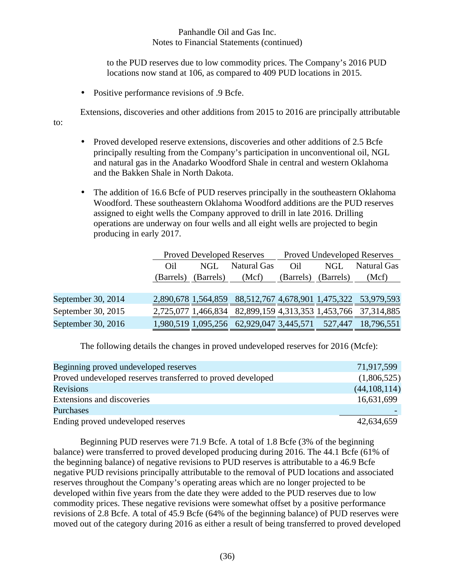to the PUD reserves due to low commodity prices. The Company's 2016 PUD locations now stand at 106, as compared to 409 PUD locations in 2015.

• Positive performance revisions of .9 Bcfe.

Extensions, discoveries and other additions from 2015 to 2016 are principally attributable

to:

- Proved developed reserve extensions, discoveries and other additions of 2.5 Bcfe principally resulting from the Company's participation in unconventional oil, NGL and natural gas in the Anadarko Woodford Shale in central and western Oklahoma and the Bakken Shale in North Dakota.
- The addition of 16.6 Bcfe of PUD reserves principally in the southeastern Oklahoma Woodford. These southeastern Oklahoma Woodford additions are the PUD reserves assigned to eight wells the Company approved to drill in late 2016. Drilling operations are underway on four wells and all eight wells are projected to begin producing in early 2017.

|                    |           | <b>Proved Developed Reserves</b> |                                                               |           | <b>Proved Undeveloped Reserves</b> |                    |
|--------------------|-----------|----------------------------------|---------------------------------------------------------------|-----------|------------------------------------|--------------------|
|                    | Oil       | NGL                              | Natural Gas                                                   | Oil       | NGL.                               | <b>Natural Gas</b> |
|                    | (Barrels) | (Barrels)                        | (Mcf)                                                         | (Barrels) | (Barrels)                          | (Mcf)              |
|                    |           |                                  |                                                               |           |                                    |                    |
| September 30, 2014 |           |                                  | 2,890,678 1,564,859 88,512,767 4,678,901 1,475,322 53,979,593 |           |                                    |                    |
| September 30, 2015 |           |                                  | 2,725,077 1,466,834 82,899,159 4,313,353 1,453,766 37,314,885 |           |                                    |                    |
| September 30, 2016 |           |                                  | 1,980,519 1,095,256 62,929,047 3,445,571 527,447 18,796,551   |           |                                    |                    |

The following details the changes in proved undeveloped reserves for 2016 (Mcfe):

| Beginning proved undeveloped reserves                       | 71,917,599     |
|-------------------------------------------------------------|----------------|
| Proved undeveloped reserves transferred to proved developed | (1,806,525)    |
| <b>Revisions</b>                                            | (44, 108, 114) |
| Extensions and discoveries                                  | 16,631,699     |
| Purchases                                                   |                |
| Ending proved undeveloped reserves                          | 42,634,659     |

Beginning PUD reserves were 71.9 Bcfe. A total of 1.8 Bcfe (3% of the beginning balance) were transferred to proved developed producing during 2016. The 44.1 Bcfe (61% of the beginning balance) of negative revisions to PUD reserves is attributable to a 46.9 Bcfe negative PUD revisions principally attributable to the removal of PUD locations and associated reserves throughout the Company's operating areas which are no longer projected to be developed within five years from the date they were added to the PUD reserves due to low commodity prices. These negative revisions were somewhat offset by a positive performance revisions of 2.8 Bcfe. A total of 45.9 Bcfe (64% of the beginning balance) of PUD reserves were moved out of the category during 2016 as either a result of being transferred to proved developed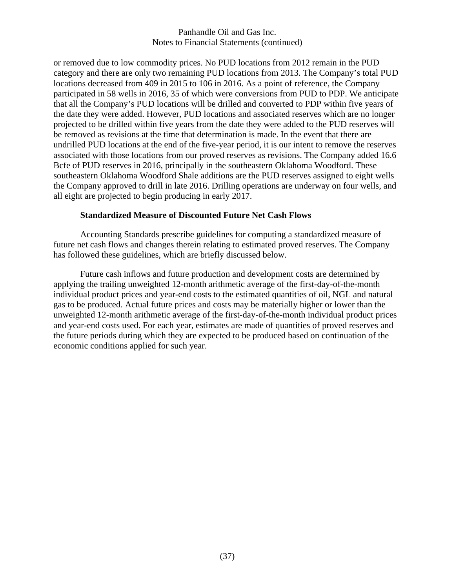or removed due to low commodity prices. No PUD locations from 2012 remain in the PUD category and there are only two remaining PUD locations from 2013. The Company's total PUD locations decreased from 409 in 2015 to 106 in 2016. As a point of reference, the Company participated in 58 wells in 2016, 35 of which were conversions from PUD to PDP. We anticipate that all the Company's PUD locations will be drilled and converted to PDP within five years of the date they were added. However, PUD locations and associated reserves which are no longer projected to be drilled within five years from the date they were added to the PUD reserves will be removed as revisions at the time that determination is made. In the event that there are undrilled PUD locations at the end of the five-year period, it is our intent to remove the reserves associated with those locations from our proved reserves as revisions. The Company added 16.6 Bcfe of PUD reserves in 2016, principally in the southeastern Oklahoma Woodford. These southeastern Oklahoma Woodford Shale additions are the PUD reserves assigned to eight wells the Company approved to drill in late 2016. Drilling operations are underway on four wells, and all eight are projected to begin producing in early 2017.

# **Standardized Measure of Discounted Future Net Cash Flows**

Accounting Standards prescribe guidelines for computing a standardized measure of future net cash flows and changes therein relating to estimated proved reserves. The Company has followed these guidelines, which are briefly discussed below.

Future cash inflows and future production and development costs are determined by applying the trailing unweighted 12-month arithmetic average of the first-day-of-the-month individual product prices and year-end costs to the estimated quantities of oil, NGL and natural gas to be produced. Actual future prices and costs may be materially higher or lower than the unweighted 12-month arithmetic average of the first-day-of-the-month individual product prices and year-end costs used. For each year, estimates are made of quantities of proved reserves and the future periods during which they are expected to be produced based on continuation of the economic conditions applied for such year.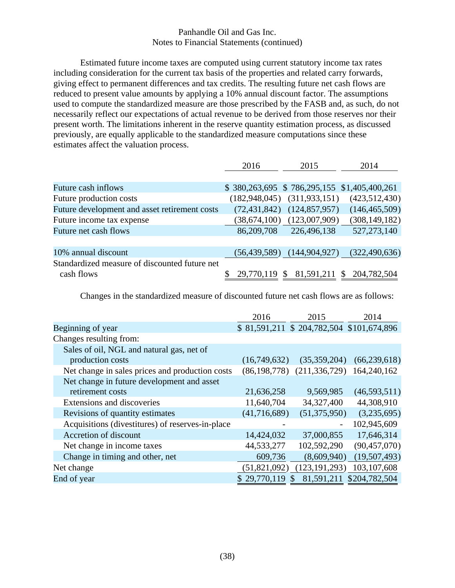Estimated future income taxes are computed using current statutory income tax rates including consideration for the current tax basis of the properties and related carry forwards, giving effect to permanent differences and tax credits. The resulting future net cash flows are reduced to present value amounts by applying a 10% annual discount factor. The assumptions used to compute the standardized measure are those prescribed by the FASB and, as such, do not necessarily reflect our expectations of actual revenue to be derived from those reserves nor their present worth. The limitations inherent in the reserve quantity estimation process, as discussed previously, are equally applicable to the standardized measure computations since these estimates affect the valuation process.

|                                               | 2016           | 2015                                | 2014                                        |
|-----------------------------------------------|----------------|-------------------------------------|---------------------------------------------|
|                                               |                |                                     |                                             |
| Future cash inflows                           |                |                                     | \$380,263,695 \$786,295,155 \$1,405,400,261 |
| Future production costs                       |                | $(182, 948, 045)$ $(311, 933, 151)$ | (423,512,430)                               |
| Future development and asset retirement costs | (72, 431, 842) | (124, 857, 957)                     | (146, 465, 509)                             |
| Future income tax expense                     | (38, 674, 100) | (123,007,909)                       | (308, 149, 182)                             |
| Future net cash flows                         | 86,209,708     | 226,496,138                         | 527, 273, 140                               |
|                                               |                |                                     |                                             |
| 10% annual discount                           |                | $(56,439,589)$ $(144,904,927)$      | (322, 490, 636)                             |
| Standardized measure of discounted future net |                |                                     |                                             |
| cash flows                                    |                | 29,770,119 \$ 81,591,211            | 204,782,504<br>$\mathbb{S}$                 |

Changes in the standardized measure of discounted future net cash flows are as follows:

|                                                  | 2016           | 2015                                       | 2014           |
|--------------------------------------------------|----------------|--------------------------------------------|----------------|
| Beginning of year                                |                | \$ 81,591,211 \$ 204,782,504 \$101,674,896 |                |
| Changes resulting from:                          |                |                                            |                |
| Sales of oil, NGL and natural gas, net of        |                |                                            |                |
| production costs                                 | (16,749,632)   | (35,359,204)                               | (66, 239, 618) |
| Net change in sales prices and production costs  |                | $(86,198,778)$ $(211,336,729)$             | 164,240,162    |
| Net change in future development and asset       |                |                                            |                |
| retirement costs                                 | 21,636,258     | 9,569,985                                  | (46,593,511)   |
| Extensions and discoveries                       | 11,640,704     | 34,327,400                                 | 44,308,910     |
| Revisions of quantity estimates                  | (41, 716, 689) | (51,375,950)                               | (3,235,695)    |
| Acquisitions (divestitures) of reserves-in-place |                |                                            | 102,945,609    |
| Accretion of discount                            | 14,424,032     | 37,000,855                                 | 17,646,314     |
| Net change in income taxes                       | 44,533,277     | 102,592,290                                | (90, 457, 070) |
| Change in timing and other, net                  | 609,736        | (8,609,940)                                | (19,507,493)   |
| Net change                                       | (51, 821, 092) | (123, 191, 293)                            | 103,107,608    |
| End of year                                      | \$29,770,119   | 81,591,211<br><sup>\$</sup>                | \$204,782,504  |